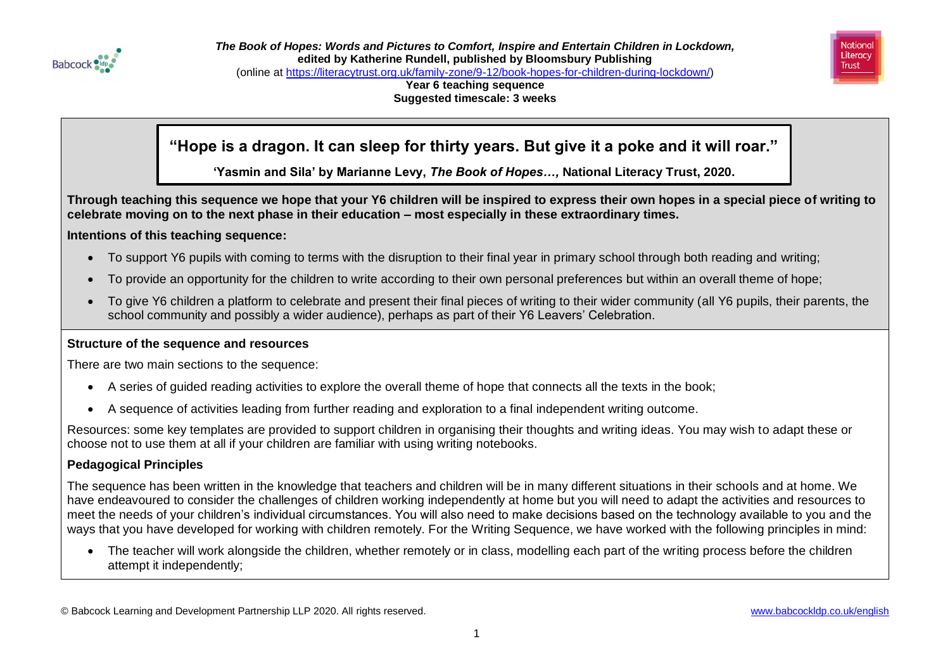



**Year 6 teaching sequence Suggested timescale: 3 weeks**

# **"Hope is a dragon. It can sleep for thirty years. But give it a poke and it will roar."**

**'Yasmin and Sila' by Marianne Levy,** *The Book of Hopes…,* **National Literacy Trust, 2020.**

**Through teaching this sequence we hope that your Y6 children will be inspired to express their own hopes in a special piece of writing to celebrate moving on to the next phase in their education – most especially in these extraordinary times.**

### **Intentions of this teaching sequence:**

- To support Y6 pupils with coming to terms with the disruption to their final year in primary school through both reading and writing;
- To provide an opportunity for the children to write according to their own personal preferences but within an overall theme of hope;
- To give Y6 children a platform to celebrate and present their final pieces of writing to their wider community (all Y6 pupils, their parents, the school community and possibly a wider audience), perhaps as part of their Y6 Leavers' Celebration.

### **Structure of the sequence and resources**

There are two main sections to the sequence:

- A series of guided reading activities to explore the overall theme of hope that connects all the texts in the book;
- A sequence of activities leading from further reading and exploration to a final independent writing outcome.

Resources: some key templates are provided to support children in organising their thoughts and writing ideas. You may wish to adapt these or choose not to use them at all if your children are familiar with using writing notebooks.

### **Pedagogical Principles**

The sequence has been written in the knowledge that teachers and children will be in many different situations in their schools and at home. We have endeavoured to consider the challenges of children working independently at home but you will need to adapt the activities and resources to meet the needs of your children's individual circumstances. You will also need to make decisions based on the technology available to you and the ways that you have developed for working with children remotely. For the Writing Sequence, we have worked with the following principles in mind:

• The teacher will work alongside the children, whether remotely or in class, modelling each part of the writing process before the children attempt it independently;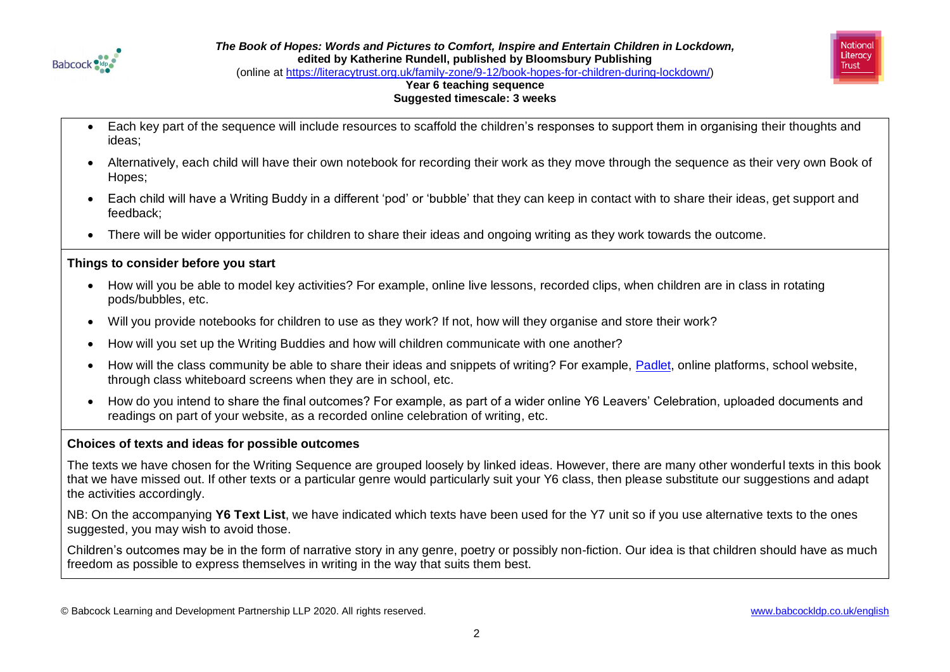



(online at [https://literacytrust.org.uk/family-zone/9-12/book-hopes-for-children-during-lockdown/\)](https://literacytrust.org.uk/family-zone/9-12/book-hopes-for-children-during-lockdown/)

### **Year 6 teaching sequence Suggested timescale: 3 weeks**

- Each key part of the sequence will include resources to scaffold the children's responses to support them in organising their thoughts and ideas;
- Alternatively, each child will have their own notebook for recording their work as they move through the sequence as their very own Book of Hopes;
- Each child will have a Writing Buddy in a different 'pod' or 'bubble' that they can keep in contact with to share their ideas, get support and feedback;
- There will be wider opportunities for children to share their ideas and ongoing writing as they work towards the outcome.

### **Things to consider before you start**

- How will you be able to model key activities? For example, online live lessons, recorded clips, when children are in class in rotating pods/bubbles, etc.
- Will you provide notebooks for children to use as they work? If not, how will they organise and store their work?
- How will you set up the Writing Buddies and how will children communicate with one another?
- How will the class community be able to share their ideas and snippets of writing? For example, [Padlet,](https://en-gb.padlet.com/) online platforms, school website, through class whiteboard screens when they are in school, etc.
- How do you intend to share the final outcomes? For example, as part of a wider online Y6 Leavers' Celebration, uploaded documents and readings on part of your website, as a recorded online celebration of writing, etc.

### **Choices of texts and ideas for possible outcomes**

The texts we have chosen for the Writing Sequence are grouped loosely by linked ideas. However, there are many other wonderful texts in this book that we have missed out. If other texts or a particular genre would particularly suit your Y6 class, then please substitute our suggestions and adapt the activities accordingly.

NB: On the accompanying **Y6 Text List**, we have indicated which texts have been used for the Y7 unit so if you use alternative texts to the ones suggested, you may wish to avoid those.

Children's outcomes may be in the form of narrative story in any genre, poetry or possibly non-fiction. Our idea is that children should have as much freedom as possible to express themselves in writing in the way that suits them best.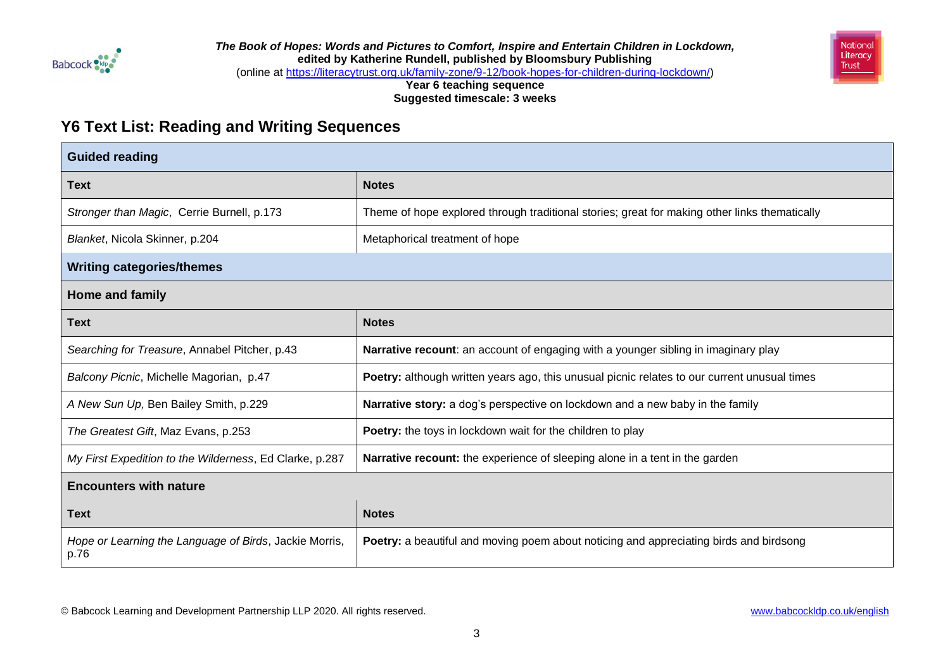



(online at [https://literacytrust.org.uk/family-zone/9-12/book-hopes-for-children-during-lockdown/\)](https://literacytrust.org.uk/family-zone/9-12/book-hopes-for-children-during-lockdown/)

**Year 6 teaching sequence Suggested timescale: 3 weeks**

## **Y6 Text List: Reading and Writing Sequences**

| <b>Guided reading</b>                                          |                                                                                               |  |  |
|----------------------------------------------------------------|-----------------------------------------------------------------------------------------------|--|--|
| <b>Text</b>                                                    | <b>Notes</b>                                                                                  |  |  |
| Stronger than Magic, Cerrie Burnell, p.173                     | Theme of hope explored through traditional stories; great for making other links thematically |  |  |
| Blanket, Nicola Skinner, p.204                                 | Metaphorical treatment of hope                                                                |  |  |
| <b>Writing categories/themes</b>                               |                                                                                               |  |  |
| Home and family                                                |                                                                                               |  |  |
| Text                                                           | <b>Notes</b>                                                                                  |  |  |
| Searching for Treasure, Annabel Pitcher, p.43                  | Narrative recount: an account of engaging with a younger sibling in imaginary play            |  |  |
| Balcony Picnic, Michelle Magorian, p.47                        | Poetry: although written years ago, this unusual picnic relates to our current unusual times  |  |  |
| A New Sun Up, Ben Bailey Smith, p.229                          | Narrative story: a dog's perspective on lockdown and a new baby in the family                 |  |  |
| The Greatest Gift, Maz Evans, p.253                            | <b>Poetry:</b> the toys in lockdown wait for the children to play                             |  |  |
| My First Expedition to the Wilderness, Ed Clarke, p.287        | <b>Narrative recount:</b> the experience of sleeping alone in a tent in the garden            |  |  |
| <b>Encounters with nature</b>                                  |                                                                                               |  |  |
| <b>Text</b>                                                    | <b>Notes</b>                                                                                  |  |  |
| Hope or Learning the Language of Birds, Jackie Morris,<br>p.76 | Poetry: a beautiful and moving poem about noticing and appreciating birds and birdsong        |  |  |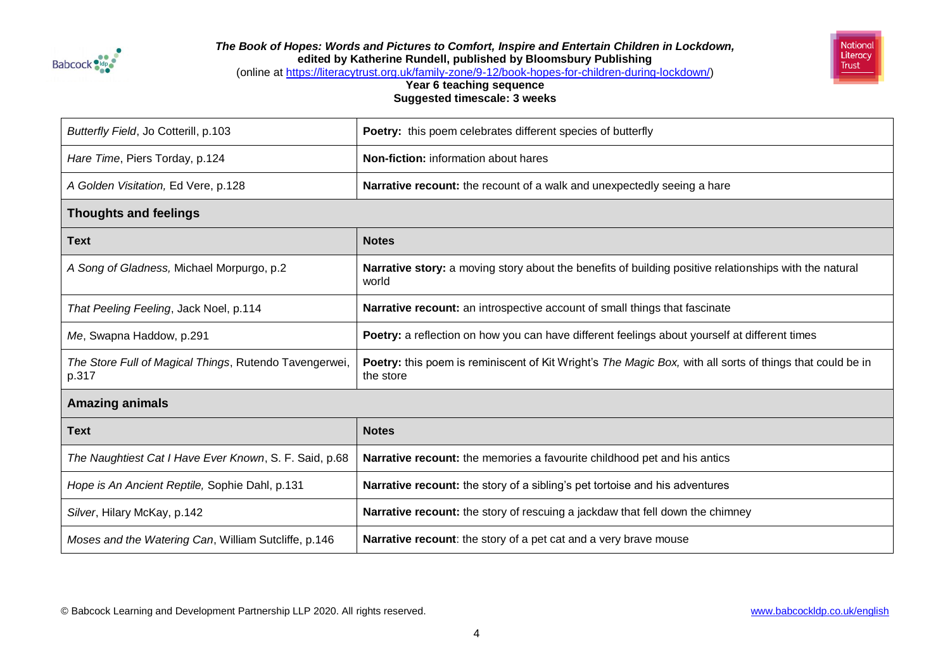



(online at [https://literacytrust.org.uk/family-zone/9-12/book-hopes-for-children-during-lockdown/\)](https://literacytrust.org.uk/family-zone/9-12/book-hopes-for-children-during-lockdown/)

**Year 6 teaching sequence Suggested timescale: 3 weeks**

| Butterfly Field, Jo Cotterill, p.103                            | Poetry: this poem celebrates different species of butterfly                                                            |  |
|-----------------------------------------------------------------|------------------------------------------------------------------------------------------------------------------------|--|
| Hare Time, Piers Torday, p.124                                  | <b>Non-fiction:</b> information about hares                                                                            |  |
| A Golden Visitation, Ed Vere, p.128                             | Narrative recount: the recount of a walk and unexpectedly seeing a hare                                                |  |
| <b>Thoughts and feelings</b>                                    |                                                                                                                        |  |
| <b>Text</b>                                                     | <b>Notes</b>                                                                                                           |  |
| A Song of Gladness, Michael Morpurgo, p.2                       | Narrative story: a moving story about the benefits of building positive relationships with the natural<br>world        |  |
| That Peeling Feeling, Jack Noel, p.114                          | Narrative recount: an introspective account of small things that fascinate                                             |  |
| Me, Swapna Haddow, p.291                                        | Poetry: a reflection on how you can have different feelings about yourself at different times                          |  |
| The Store Full of Magical Things, Rutendo Tavengerwei,<br>p.317 | Poetry: this poem is reminiscent of Kit Wright's The Magic Box, with all sorts of things that could be in<br>the store |  |
| <b>Amazing animals</b>                                          |                                                                                                                        |  |
| <b>Text</b>                                                     | <b>Notes</b>                                                                                                           |  |
| The Naughtiest Cat I Have Ever Known, S. F. Said, p.68          | Narrative recount: the memories a favourite childhood pet and his antics                                               |  |
| Hope is An Ancient Reptile, Sophie Dahl, p.131                  | Narrative recount: the story of a sibling's pet tortoise and his adventures                                            |  |
| Silver, Hilary McKay, p.142                                     | Narrative recount: the story of rescuing a jackdaw that fell down the chimney                                          |  |
| Moses and the Watering Can, William Sutcliffe, p.146            | Narrative recount: the story of a pet cat and a very brave mouse                                                       |  |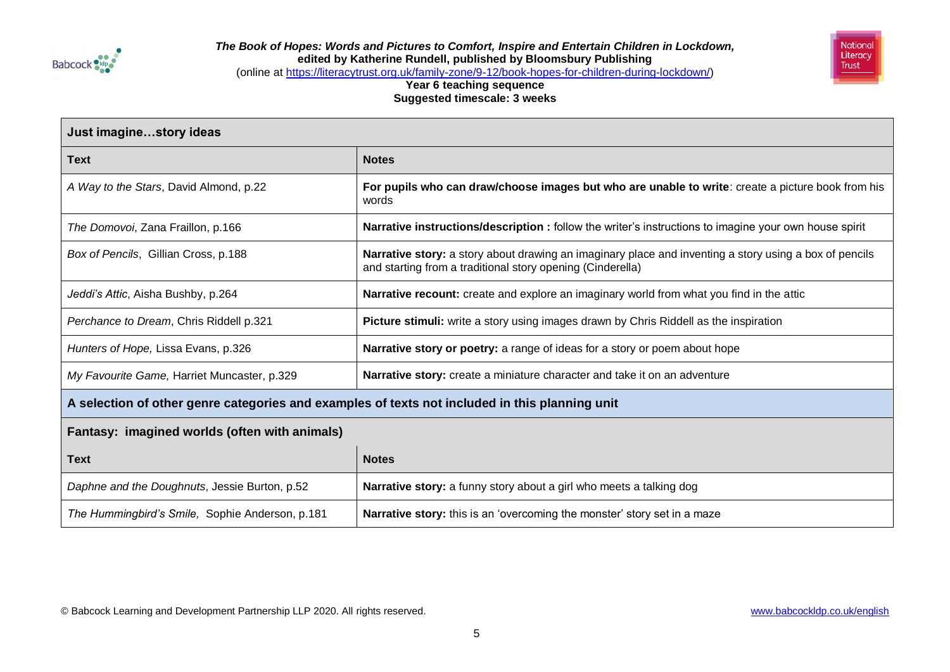



(online at [https://literacytrust.org.uk/family-zone/9-12/book-hopes-for-children-during-lockdown/\)](https://literacytrust.org.uk/family-zone/9-12/book-hopes-for-children-during-lockdown/)

| Just imaginestory ideas                                                                        |                                                                                                                                                                      |  |  |
|------------------------------------------------------------------------------------------------|----------------------------------------------------------------------------------------------------------------------------------------------------------------------|--|--|
| <b>Text</b>                                                                                    | <b>Notes</b>                                                                                                                                                         |  |  |
| A Way to the Stars, David Almond, p.22                                                         | For pupils who can draw/choose images but who are unable to write: create a picture book from his<br>words                                                           |  |  |
| The Domovoi, Zana Fraillon, p.166                                                              | Narrative instructions/description : follow the writer's instructions to imagine your own house spirit                                                               |  |  |
| Box of Pencils, Gillian Cross, p.188                                                           | Narrative story: a story about drawing an imaginary place and inventing a story using a box of pencils<br>and starting from a traditional story opening (Cinderella) |  |  |
| Jeddi's Attic, Aisha Bushby, p.264                                                             | Narrative recount: create and explore an imaginary world from what you find in the attic                                                                             |  |  |
| Perchance to Dream, Chris Riddell p.321                                                        | Picture stimuli: write a story using images drawn by Chris Riddell as the inspiration                                                                                |  |  |
| Hunters of Hope, Lissa Evans, p.326                                                            | Narrative story or poetry: a range of ideas for a story or poem about hope                                                                                           |  |  |
| My Favourite Game, Harriet Muncaster, p.329                                                    | Narrative story: create a miniature character and take it on an adventure                                                                                            |  |  |
| A selection of other genre categories and examples of texts not included in this planning unit |                                                                                                                                                                      |  |  |
| Fantasy: imagined worlds (often with animals)                                                  |                                                                                                                                                                      |  |  |
| <b>Text</b>                                                                                    | <b>Notes</b>                                                                                                                                                         |  |  |
| Daphne and the Doughnuts, Jessie Burton, p.52                                                  | Narrative story: a funny story about a girl who meets a talking dog                                                                                                  |  |  |
| The Hummingbird's Smile, Sophie Anderson, p.181                                                | Narrative story: this is an 'overcoming the monster' story set in a maze                                                                                             |  |  |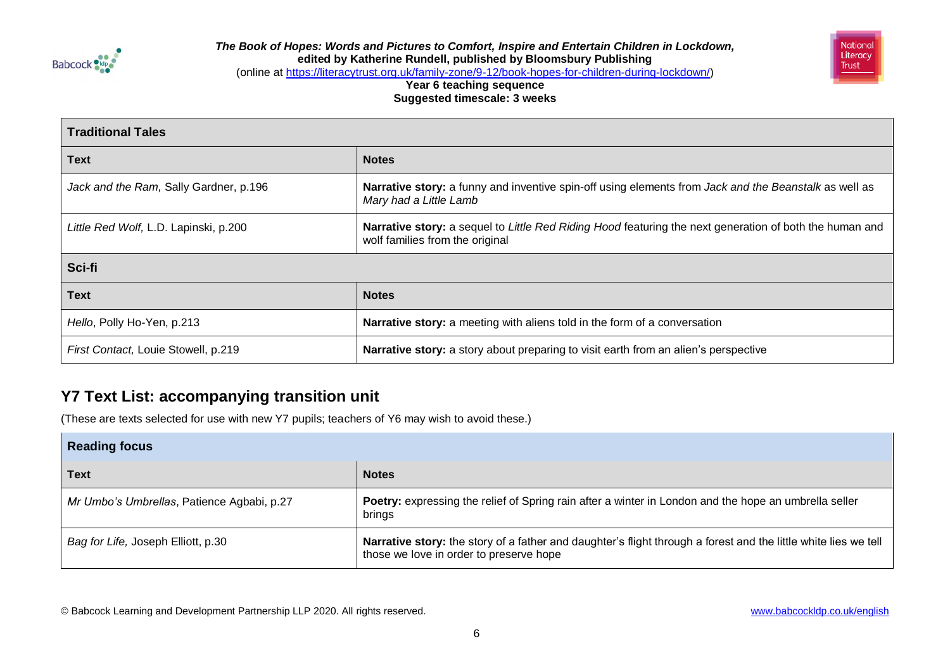



(online at [https://literacytrust.org.uk/family-zone/9-12/book-hopes-for-children-during-lockdown/\)](https://literacytrust.org.uk/family-zone/9-12/book-hopes-for-children-during-lockdown/)

### **Year 6 teaching sequence Suggested timescale: 3 weeks**

| <b>Traditional Tales</b>               |                                                                                                                                            |  |  |
|----------------------------------------|--------------------------------------------------------------------------------------------------------------------------------------------|--|--|
| <b>Text</b>                            | <b>Notes</b>                                                                                                                               |  |  |
| Jack and the Ram, Sally Gardner, p.196 | Narrative story: a funny and inventive spin-off using elements from Jack and the Beanstalk as well as<br>Mary had a Little Lamb            |  |  |
| Little Red Wolf, L.D. Lapinski, p.200  | Narrative story: a sequel to Little Red Riding Hood featuring the next generation of both the human and<br>wolf families from the original |  |  |
| Sci-fi                                 |                                                                                                                                            |  |  |
| Text                                   | <b>Notes</b>                                                                                                                               |  |  |
| Hello, Polly Ho-Yen, p.213             | Narrative story: a meeting with aliens told in the form of a conversation                                                                  |  |  |
| First Contact, Louie Stowell, p.219    | Narrative story: a story about preparing to visit earth from an alien's perspective                                                        |  |  |

# **Y7 Text List: accompanying transition unit**

(These are texts selected for use with new Y7 pupils; teachers of Y6 may wish to avoid these.)

| <b>Reading focus</b>                       |                                                                                                                                                            |  |  |
|--------------------------------------------|------------------------------------------------------------------------------------------------------------------------------------------------------------|--|--|
| <b>Text</b>                                | <b>Notes</b>                                                                                                                                               |  |  |
| Mr Umbo's Umbrellas, Patience Agbabi, p.27 | Poetry: expressing the relief of Spring rain after a winter in London and the hope an umbrella seller<br>brings                                            |  |  |
| Bag for Life, Joseph Elliott, p.30         | Narrative story: the story of a father and daughter's flight through a forest and the little white lies we tell<br>those we love in order to preserve hope |  |  |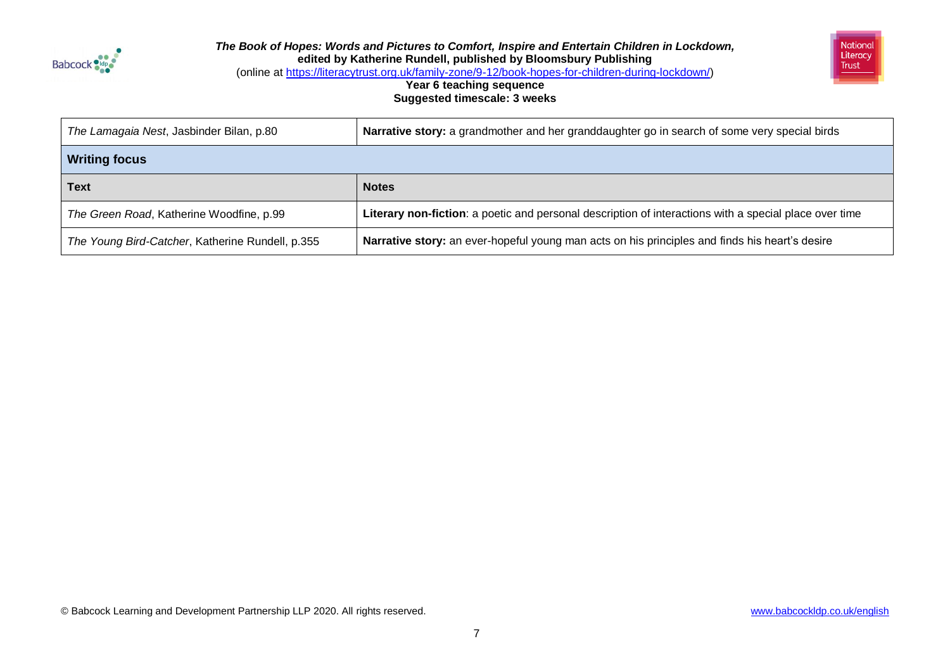



(online at [https://literacytrust.org.uk/family-zone/9-12/book-hopes-for-children-during-lockdown/\)](https://literacytrust.org.uk/family-zone/9-12/book-hopes-for-children-during-lockdown/)

| The Lamagaia Nest, Jasbinder Bilan, p.80         | Narrative story: a grandmother and her granddaughter go in search of some very special birds           |  |
|--------------------------------------------------|--------------------------------------------------------------------------------------------------------|--|
| <b>Writing focus</b>                             |                                                                                                        |  |
| <b>Text</b>                                      | <b>Notes</b>                                                                                           |  |
| The Green Road, Katherine Woodfine, p.99         | Literary non-fiction: a poetic and personal description of interactions with a special place over time |  |
| The Young Bird-Catcher, Katherine Rundell, p.355 | Narrative story: an ever-hopeful young man acts on his principles and finds his heart's desire         |  |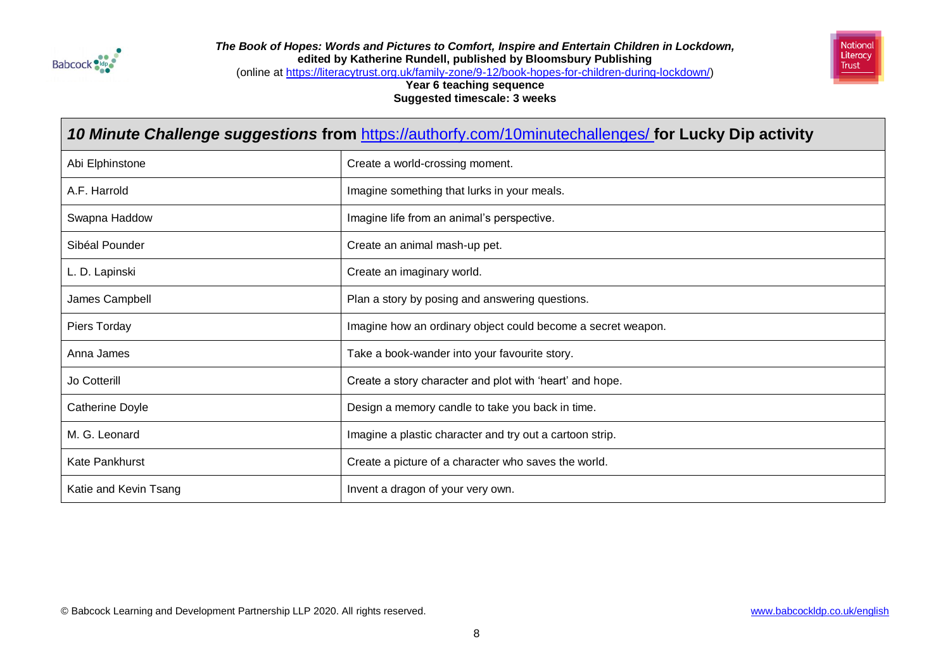



(online at [https://literacytrust.org.uk/family-zone/9-12/book-hopes-for-children-during-lockdown/\)](https://literacytrust.org.uk/family-zone/9-12/book-hopes-for-children-during-lockdown/)

| 10 Minute Challenge suggestions from https://authorfy.com/10minutechallenges/ for Lucky Dip activity |                                                              |  |
|------------------------------------------------------------------------------------------------------|--------------------------------------------------------------|--|
| Abi Elphinstone                                                                                      | Create a world-crossing moment.                              |  |
| A.F. Harrold                                                                                         | Imagine something that lurks in your meals.                  |  |
| Swapna Haddow                                                                                        | Imagine life from an animal's perspective.                   |  |
| Sibéal Pounder                                                                                       | Create an animal mash-up pet.                                |  |
| L. D. Lapinski                                                                                       | Create an imaginary world.                                   |  |
| James Campbell                                                                                       | Plan a story by posing and answering questions.              |  |
| Piers Torday                                                                                         | Imagine how an ordinary object could become a secret weapon. |  |
| Anna James                                                                                           | Take a book-wander into your favourite story.                |  |
| Jo Cotterill                                                                                         | Create a story character and plot with 'heart' and hope.     |  |
| Catherine Doyle                                                                                      | Design a memory candle to take you back in time.             |  |
| M. G. Leonard                                                                                        | Imagine a plastic character and try out a cartoon strip.     |  |
| Kate Pankhurst                                                                                       | Create a picture of a character who saves the world.         |  |
| Katie and Kevin Tsang                                                                                | Invent a dragon of your very own.                            |  |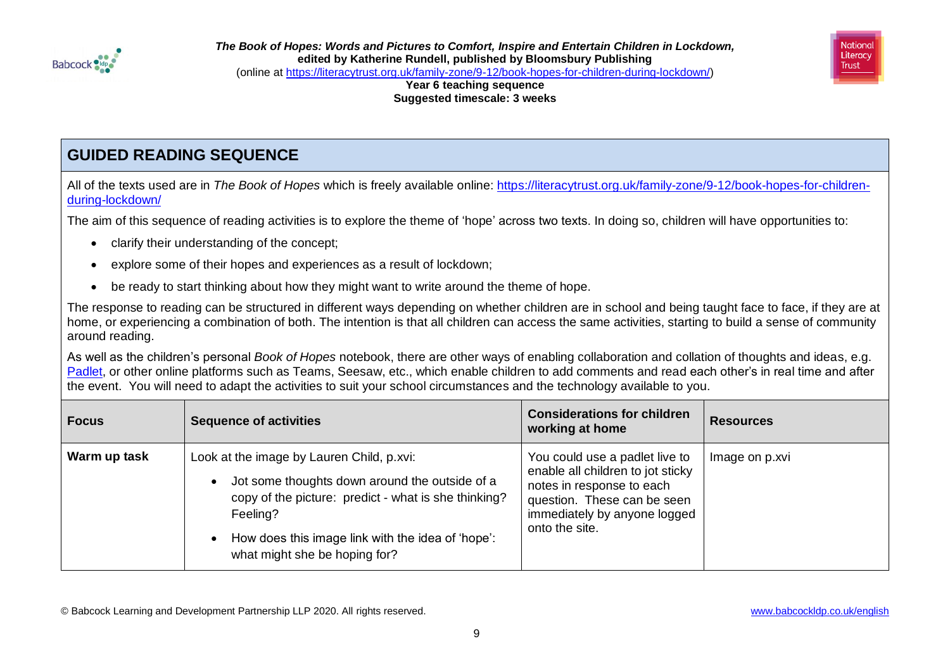



**Year 6 teaching sequence Suggested timescale: 3 weeks**

# **GUIDED READING SEQUENCE**

All of the texts used are in *The Book of Hopes* which is freely available online: [https://literacytrust.org.uk/family-zone/9-12/book-hopes-for-children](https://literacytrust.org.uk/family-zone/9-12/book-hopes-for-children-during-lockdown/)[during-lockdown/](https://literacytrust.org.uk/family-zone/9-12/book-hopes-for-children-during-lockdown/)

The aim of this sequence of reading activities is to explore the theme of 'hope' across two texts. In doing so, children will have opportunities to:

- clarify their understanding of the concept;
- explore some of their hopes and experiences as a result of lockdown;
- be ready to start thinking about how they might want to write around the theme of hope.

The response to reading can be structured in different ways depending on whether children are in school and being taught face to face, if they are at home, or experiencing a combination of both. The intention is that all children can access the same activities, starting to build a sense of community around reading.

As well as the children's personal *Book of Hopes* notebook, there are other ways of enabling collaboration and collation of thoughts and ideas, e.g. [Padlet,](https://en-gb.padlet.com/) or other online platforms such as Teams, Seesaw, etc., which enable children to add comments and read each other's in real time and after the event. You will need to adapt the activities to suit your school circumstances and the technology available to you.

| <b>Focus</b> | <b>Sequence of activities</b>                                                                                                                                                                                                                         | <b>Considerations for children</b><br>working at home                                                                                                                             | <b>Resources</b> |
|--------------|-------------------------------------------------------------------------------------------------------------------------------------------------------------------------------------------------------------------------------------------------------|-----------------------------------------------------------------------------------------------------------------------------------------------------------------------------------|------------------|
| Warm up task | Look at the image by Lauren Child, p.xvi:<br>Jot some thoughts down around the outside of a<br>copy of the picture: predict - what is she thinking?<br>Feeling?<br>How does this image link with the idea of 'hope':<br>what might she be hoping for? | You could use a padlet live to<br>enable all children to jot sticky<br>notes in response to each<br>question. These can be seen<br>immediately by anyone logged<br>onto the site. | Image on p.xvi   |

© Babcock Learning and Development Partnership LLP 2020. All rights reserved. [www.babcockldp.co.uk/english](http://www.babcockldp.co.uk/english)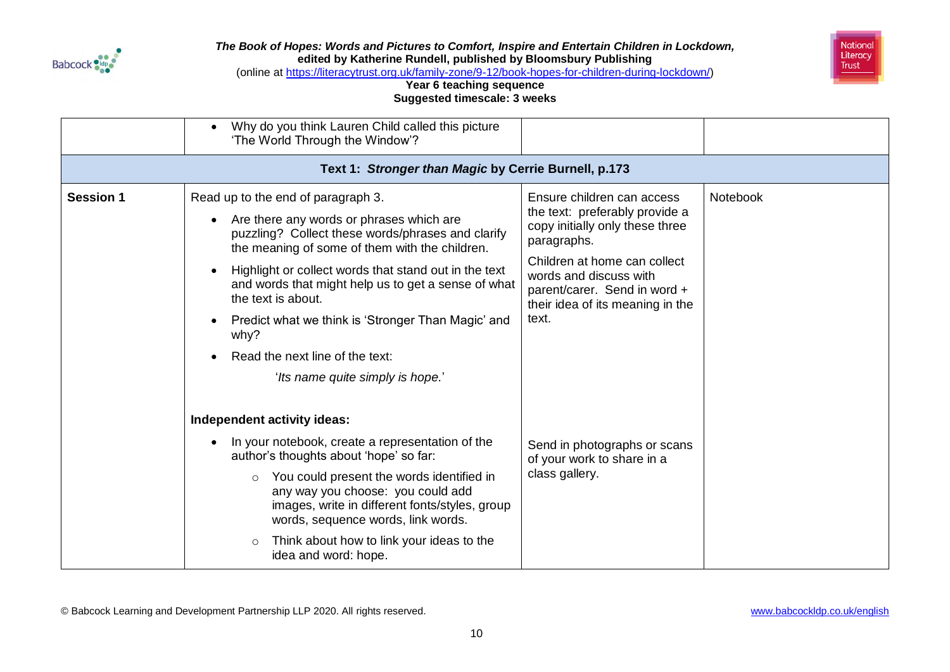



(online at [https://literacytrust.org.uk/family-zone/9-12/book-hopes-for-children-during-lockdown/\)](https://literacytrust.org.uk/family-zone/9-12/book-hopes-for-children-during-lockdown/)

### **Year 6 teaching sequence Suggested timescale: 3 weeks**

|                  | Why do you think Lauren Child called this picture                                                                                                                                 |                                                                                                                            |          |
|------------------|-----------------------------------------------------------------------------------------------------------------------------------------------------------------------------------|----------------------------------------------------------------------------------------------------------------------------|----------|
|                  | 'The World Through the Window'?                                                                                                                                                   |                                                                                                                            |          |
|                  | Text 1: Stronger than Magic by Cerrie Burnell, p.173                                                                                                                              |                                                                                                                            |          |
| <b>Session 1</b> | Read up to the end of paragraph 3.<br>Are there any words or phrases which are                                                                                                    | Ensure children can access<br>the text: preferably provide a                                                               | Notebook |
|                  | puzzling? Collect these words/phrases and clarify<br>the meaning of some of them with the children.                                                                               | copy initially only these three<br>paragraphs.                                                                             |          |
|                  | Highlight or collect words that stand out in the text<br>and words that might help us to get a sense of what<br>the text is about.                                                | Children at home can collect<br>words and discuss with<br>parent/carer. Send in word +<br>their idea of its meaning in the |          |
|                  | Predict what we think is 'Stronger Than Magic' and<br>why?                                                                                                                        | text.                                                                                                                      |          |
|                  | Read the next line of the text:                                                                                                                                                   |                                                                                                                            |          |
|                  | 'Its name quite simply is hope.'                                                                                                                                                  |                                                                                                                            |          |
|                  | Independent activity ideas:                                                                                                                                                       |                                                                                                                            |          |
|                  | In your notebook, create a representation of the<br>author's thoughts about 'hope' so far:                                                                                        | Send in photographs or scans<br>of your work to share in a                                                                 |          |
|                  | You could present the words identified in<br>$\circ$<br>any way you choose: you could add<br>images, write in different fonts/styles, group<br>words, sequence words, link words. | class gallery.                                                                                                             |          |
|                  | Think about how to link your ideas to the<br>$\circ$<br>idea and word: hope.                                                                                                      |                                                                                                                            |          |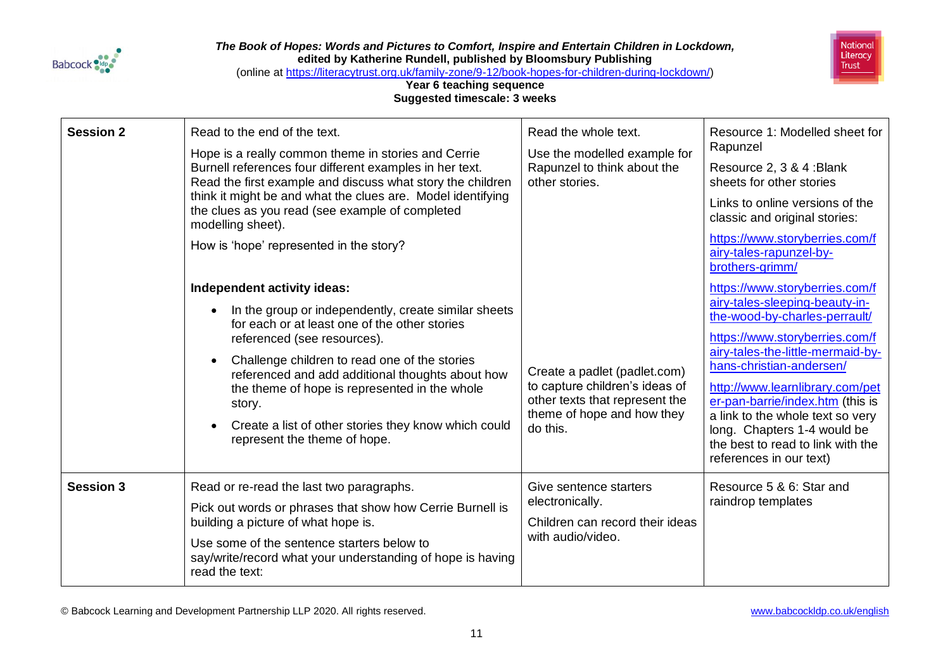



(online at [https://literacytrust.org.uk/family-zone/9-12/book-hopes-for-children-during-lockdown/\)](https://literacytrust.org.uk/family-zone/9-12/book-hopes-for-children-during-lockdown/)

### **Year 6 teaching sequence Suggested timescale: 3 weeks**

| <b>Session 2</b> | Read to the end of the text.<br>Hope is a really common theme in stories and Cerrie<br>Burnell references four different examples in her text.<br>Read the first example and discuss what story the children<br>think it might be and what the clues are. Model identifying<br>the clues as you read (see example of completed<br>modelling sheet).<br>How is 'hope' represented in the story?<br>Independent activity ideas:<br>In the group or independently, create similar sheets<br>for each or at least one of the other stories<br>referenced (see resources).<br>Challenge children to read one of the stories<br>referenced and add additional thoughts about how<br>the theme of hope is represented in the whole<br>story.<br>Create a list of other stories they know which could<br>represent the theme of hope. | Read the whole text.<br>Use the modelled example for<br>Rapunzel to think about the<br>other stories.<br>Create a padlet (padlet.com)<br>to capture children's ideas of<br>other texts that represent the<br>theme of hope and how they<br>do this. | Resource 1: Modelled sheet for<br>Rapunzel<br>Resource 2, 3 & 4 : Blank<br>sheets for other stories<br>Links to online versions of the<br>classic and original stories:<br>https://www.storyberries.com/f<br>airy-tales-rapunzel-by-<br>brothers-grimm/<br>https://www.storyberries.com/f<br>airy-tales-sleeping-beauty-in-<br>the-wood-by-charles-perrault/<br>https://www.storyberries.com/f<br>airy-tales-the-little-mermaid-by-<br>hans-christian-andersen/<br>http://www.learnlibrary.com/pet<br>er-pan-barrie/index.htm (this is<br>a link to the whole text so very<br>long. Chapters 1-4 would be<br>the best to read to link with the<br>references in our text) |
|------------------|-------------------------------------------------------------------------------------------------------------------------------------------------------------------------------------------------------------------------------------------------------------------------------------------------------------------------------------------------------------------------------------------------------------------------------------------------------------------------------------------------------------------------------------------------------------------------------------------------------------------------------------------------------------------------------------------------------------------------------------------------------------------------------------------------------------------------------|-----------------------------------------------------------------------------------------------------------------------------------------------------------------------------------------------------------------------------------------------------|---------------------------------------------------------------------------------------------------------------------------------------------------------------------------------------------------------------------------------------------------------------------------------------------------------------------------------------------------------------------------------------------------------------------------------------------------------------------------------------------------------------------------------------------------------------------------------------------------------------------------------------------------------------------------|
| <b>Session 3</b> | Read or re-read the last two paragraphs.<br>Pick out words or phrases that show how Cerrie Burnell is<br>building a picture of what hope is.<br>Use some of the sentence starters below to<br>say/write/record what your understanding of hope is having<br>read the text:                                                                                                                                                                                                                                                                                                                                                                                                                                                                                                                                                    | Give sentence starters<br>electronically.<br>Children can record their ideas<br>with audio/video.                                                                                                                                                   | Resource 5 & 6: Star and<br>raindrop templates                                                                                                                                                                                                                                                                                                                                                                                                                                                                                                                                                                                                                            |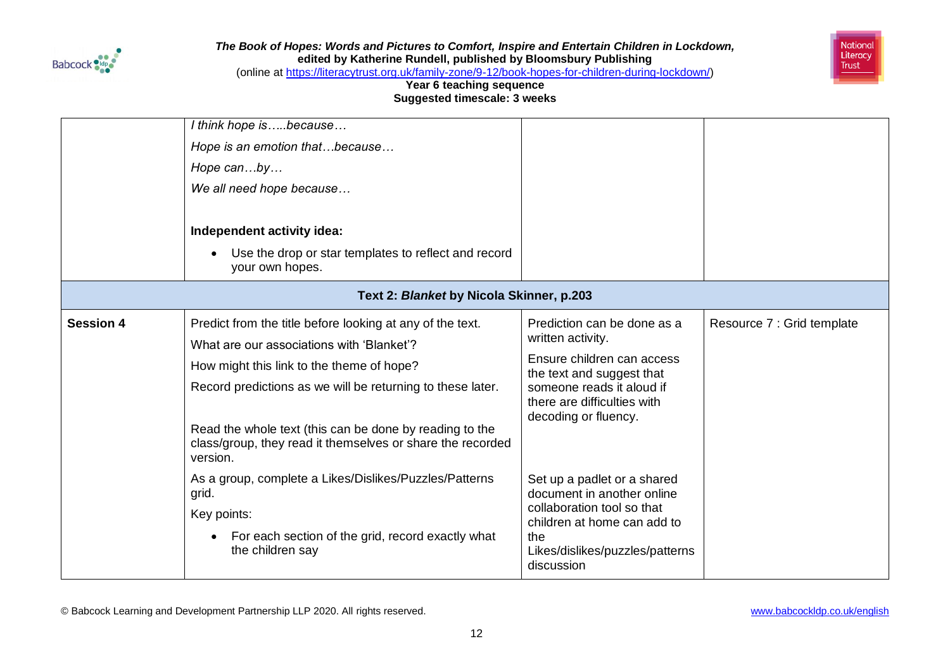



(online at [https://literacytrust.org.uk/family-zone/9-12/book-hopes-for-children-during-lockdown/\)](https://literacytrust.org.uk/family-zone/9-12/book-hopes-for-children-during-lockdown/)

### **Year 6 teaching sequence Suggested timescale: 3 weeks**

|                  | I think hope isbecause                                                                                                            |                                                          |                            |
|------------------|-----------------------------------------------------------------------------------------------------------------------------------|----------------------------------------------------------|----------------------------|
|                  | Hope is an emotion thatbecause                                                                                                    |                                                          |                            |
|                  | Hope canby                                                                                                                        |                                                          |                            |
|                  | We all need hope because                                                                                                          |                                                          |                            |
|                  |                                                                                                                                   |                                                          |                            |
|                  | Independent activity idea:                                                                                                        |                                                          |                            |
|                  | Use the drop or star templates to reflect and record<br>your own hopes.                                                           |                                                          |                            |
|                  | Text 2: Blanket by Nicola Skinner, p.203                                                                                          |                                                          |                            |
| <b>Session 4</b> | Predict from the title before looking at any of the text.                                                                         | Prediction can be done as a                              | Resource 7 : Grid template |
|                  | What are our associations with 'Blanket'?                                                                                         | written activity.                                        |                            |
|                  | How might this link to the theme of hope?                                                                                         | Ensure children can access<br>the text and suggest that  |                            |
|                  | Record predictions as we will be returning to these later.                                                                        | someone reads it aloud if<br>there are difficulties with |                            |
|                  | Read the whole text (this can be done by reading to the<br>class/group, they read it themselves or share the recorded<br>version. | decoding or fluency.                                     |                            |
|                  | As a group, complete a Likes/Dislikes/Puzzles/Patterns                                                                            | Set up a padlet or a shared                              |                            |
|                  | grid.                                                                                                                             | document in another online<br>collaboration tool so that |                            |
|                  | Key points:                                                                                                                       | children at home can add to                              |                            |
|                  | For each section of the grid, record exactly what<br>the children say                                                             | the<br>Likes/dislikes/puzzles/patterns<br>discussion     |                            |
|                  |                                                                                                                                   |                                                          |                            |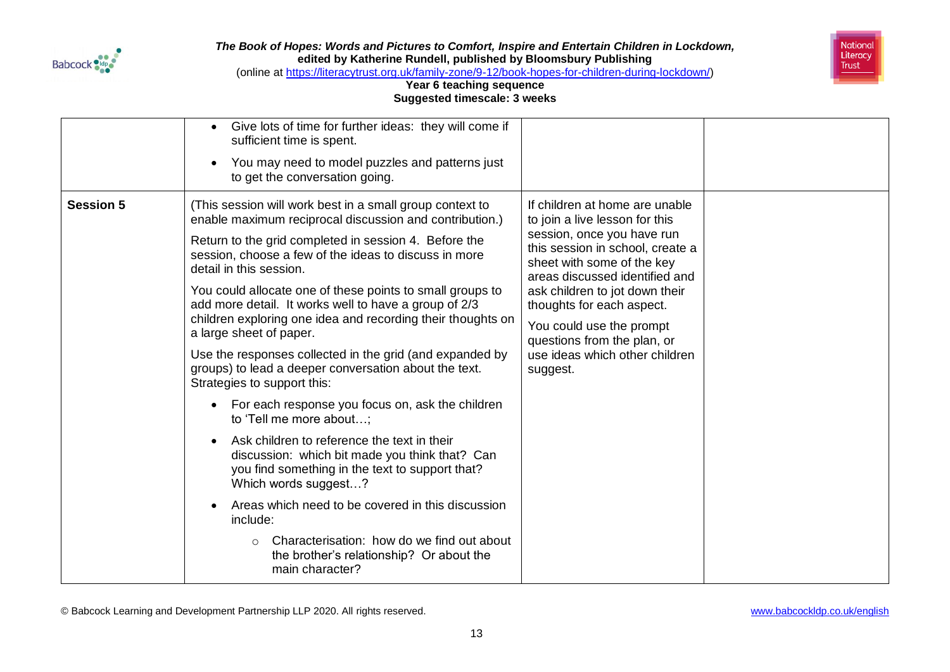



(online at [https://literacytrust.org.uk/family-zone/9-12/book-hopes-for-children-during-lockdown/\)](https://literacytrust.org.uk/family-zone/9-12/book-hopes-for-children-during-lockdown/)

### **Year 6 teaching sequence Suggested timescale: 3 weeks**

|                  | Give lots of time for further ideas: they will come if<br>sufficient time is spent.<br>You may need to model puzzles and patterns just<br>to get the conversation going.                                                                                                                                                                                                                                                                                                                                                                                                                                                                                                                                                                                                                                                                                                                                                                                                                                                                                                                 |                                                                                                                                                                                                                                                                                                                                                                            |  |
|------------------|------------------------------------------------------------------------------------------------------------------------------------------------------------------------------------------------------------------------------------------------------------------------------------------------------------------------------------------------------------------------------------------------------------------------------------------------------------------------------------------------------------------------------------------------------------------------------------------------------------------------------------------------------------------------------------------------------------------------------------------------------------------------------------------------------------------------------------------------------------------------------------------------------------------------------------------------------------------------------------------------------------------------------------------------------------------------------------------|----------------------------------------------------------------------------------------------------------------------------------------------------------------------------------------------------------------------------------------------------------------------------------------------------------------------------------------------------------------------------|--|
| <b>Session 5</b> | (This session will work best in a small group context to<br>enable maximum reciprocal discussion and contribution.)<br>Return to the grid completed in session 4. Before the<br>session, choose a few of the ideas to discuss in more<br>detail in this session.<br>You could allocate one of these points to small groups to<br>add more detail. It works well to have a group of 2/3<br>children exploring one idea and recording their thoughts on<br>a large sheet of paper.<br>Use the responses collected in the grid (and expanded by<br>groups) to lead a deeper conversation about the text.<br>Strategies to support this:<br>For each response you focus on, ask the children<br>to 'Tell me more about;<br>Ask children to reference the text in their<br>discussion: which bit made you think that? Can<br>you find something in the text to support that?<br>Which words suggest?<br>Areas which need to be covered in this discussion<br>include:<br>Characterisation: how do we find out about<br>$\circ$<br>the brother's relationship? Or about the<br>main character? | If children at home are unable<br>to join a live lesson for this<br>session, once you have run<br>this session in school, create a<br>sheet with some of the key<br>areas discussed identified and<br>ask children to jot down their<br>thoughts for each aspect.<br>You could use the prompt<br>questions from the plan, or<br>use ideas which other children<br>suggest. |  |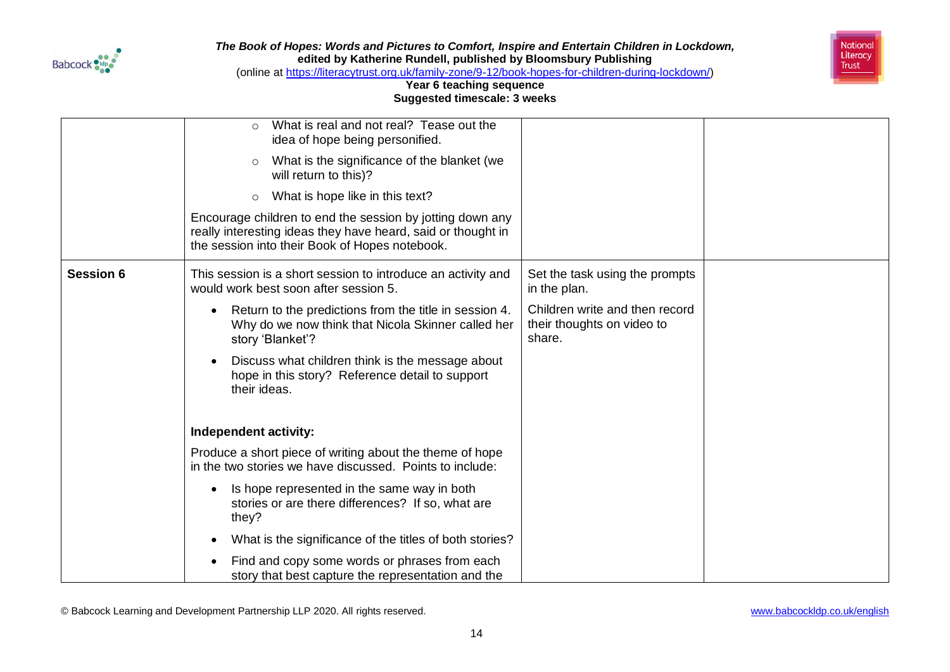



(online at [https://literacytrust.org.uk/family-zone/9-12/book-hopes-for-children-during-lockdown/\)](https://literacytrust.org.uk/family-zone/9-12/book-hopes-for-children-during-lockdown/)

### **Year 6 teaching sequence Suggested timescale: 3 weeks**

|                  | What is real and not real? Tease out the<br>$\bigcirc$<br>idea of hope being personified.                                                                                   |                                                                        |  |
|------------------|-----------------------------------------------------------------------------------------------------------------------------------------------------------------------------|------------------------------------------------------------------------|--|
|                  | What is the significance of the blanket (we<br>$\circ$<br>will return to this)?                                                                                             |                                                                        |  |
|                  | What is hope like in this text?<br>$\circ$                                                                                                                                  |                                                                        |  |
|                  | Encourage children to end the session by jotting down any<br>really interesting ideas they have heard, said or thought in<br>the session into their Book of Hopes notebook. |                                                                        |  |
| <b>Session 6</b> | This session is a short session to introduce an activity and<br>would work best soon after session 5.                                                                       | Set the task using the prompts<br>in the plan.                         |  |
|                  | Return to the predictions from the title in session 4.<br>Why do we now think that Nicola Skinner called her<br>story 'Blanket'?                                            | Children write and then record<br>their thoughts on video to<br>share. |  |
|                  | Discuss what children think is the message about<br>hope in this story? Reference detail to support<br>their ideas.                                                         |                                                                        |  |
|                  | Independent activity:                                                                                                                                                       |                                                                        |  |
|                  | Produce a short piece of writing about the theme of hope<br>in the two stories we have discussed. Points to include:                                                        |                                                                        |  |
|                  | Is hope represented in the same way in both<br>stories or are there differences? If so, what are<br>they?                                                                   |                                                                        |  |
|                  | What is the significance of the titles of both stories?                                                                                                                     |                                                                        |  |
|                  | Find and copy some words or phrases from each<br>story that best capture the representation and the                                                                         |                                                                        |  |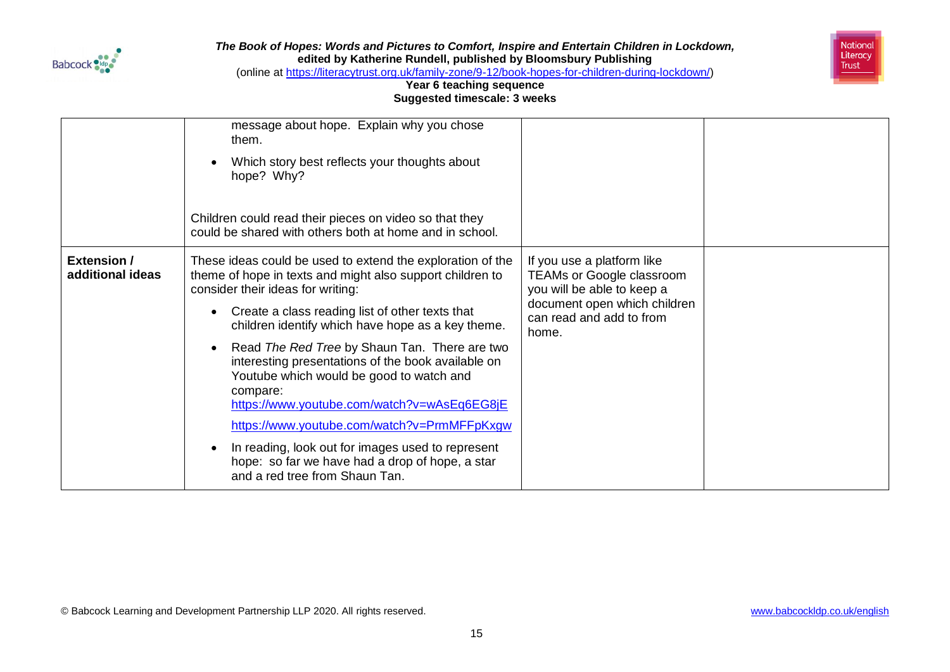



(online at [https://literacytrust.org.uk/family-zone/9-12/book-hopes-for-children-during-lockdown/\)](https://literacytrust.org.uk/family-zone/9-12/book-hopes-for-children-during-lockdown/)

|                                        | message about hope. Explain why you chose<br>them.<br>Which story best reflects your thoughts about<br>hope? Why?<br>Children could read their pieces on video so that they<br>could be shared with others both at home and in school.                                                                                                                                                                                                                                                                                                                                                                                                                                      |                                                                                                                                                                   |  |
|----------------------------------------|-----------------------------------------------------------------------------------------------------------------------------------------------------------------------------------------------------------------------------------------------------------------------------------------------------------------------------------------------------------------------------------------------------------------------------------------------------------------------------------------------------------------------------------------------------------------------------------------------------------------------------------------------------------------------------|-------------------------------------------------------------------------------------------------------------------------------------------------------------------|--|
| <b>Extension /</b><br>additional ideas | These ideas could be used to extend the exploration of the<br>theme of hope in texts and might also support children to<br>consider their ideas for writing:<br>Create a class reading list of other texts that<br>children identify which have hope as a key theme.<br>Read The Red Tree by Shaun Tan. There are two<br>interesting presentations of the book available on<br>Youtube which would be good to watch and<br>compare:<br>https://www.youtube.com/watch?v=wAsEq6EG8jE<br>https://www.youtube.com/watch?v=PrmMFFpKxgw<br>In reading, look out for images used to represent<br>hope: so far we have had a drop of hope, a star<br>and a red tree from Shaun Tan. | If you use a platform like<br><b>TEAMs or Google classroom</b><br>you will be able to keep a<br>document open which children<br>can read and add to from<br>home. |  |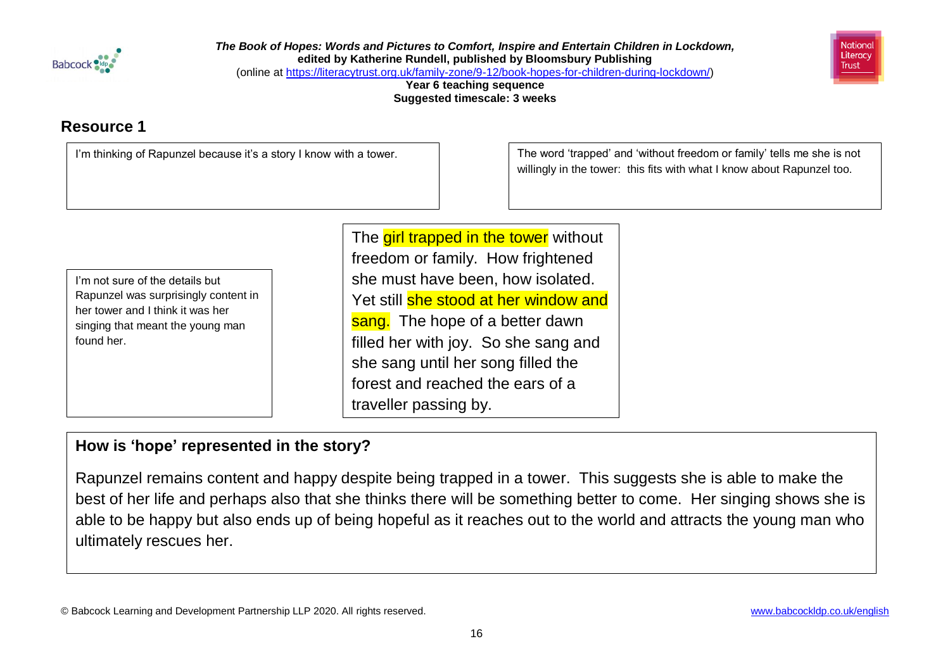

*The Book of Hopes: Words and Pictures to Comfort, Inspire and Entertain Children in Lockdown,*  **edited by Katherine Rundell, published by Bloomsbury Publishing** (online at [https://literacytrust.org.uk/family-zone/9-12/book-hopes-for-children-during-lockdown/\)](https://literacytrust.org.uk/family-zone/9-12/book-hopes-for-children-during-lockdown/)

> **Year 6 teaching sequence Suggested timescale: 3 weeks**

# **Resource 1**



I'm thinking of Rapunzel because it's a story I know with a tower.<br>  $\vert$  The word 'trapped' and 'without freedom or family' tells me she is not willingly in the tower: this fits with what I know about Rapunzel too.

I'm not sure of the details but Rapunzel was surprisingly content in her tower and I think it was her singing that meant the young man found her.

The **girl trapped in the tower** without freedom or family. How frightened she must have been, how isolated. Yet still she stood at her window and sang. The hope of a better dawn filled her with joy. So she sang and she sang until her song filled the forest and reached the ears of a traveller passing by.

# **How is 'hope' represented in the story?**

Rapunzel remains content and happy despite being trapped in a tower. This suggests she is able to make the best of her life and perhaps also that she thinks there will be something better to come. Her singing shows she is able to be happy but also ends up of being hopeful as it reaches out to the world and attracts the young man who ultimately rescues her.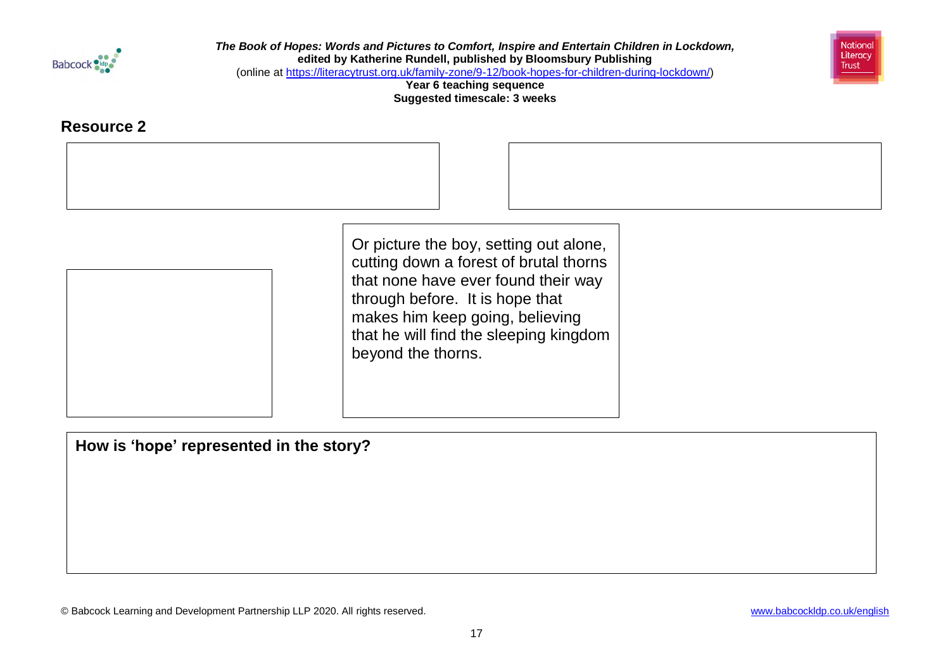



(online at [https://literacytrust.org.uk/family-zone/9-12/book-hopes-for-children-during-lockdown/\)](https://literacytrust.org.uk/family-zone/9-12/book-hopes-for-children-during-lockdown/)

**Year 6 teaching sequence Suggested timescale: 3 weeks**

## **Resource 2**

Or picture the boy, setting out alone, cutting down a forest of brutal thorns that none have ever found their way through before. It is hope that makes him keep going, believing that he will find the sleeping kingdom beyond the thorns.

**How is 'hope' represented in the story?**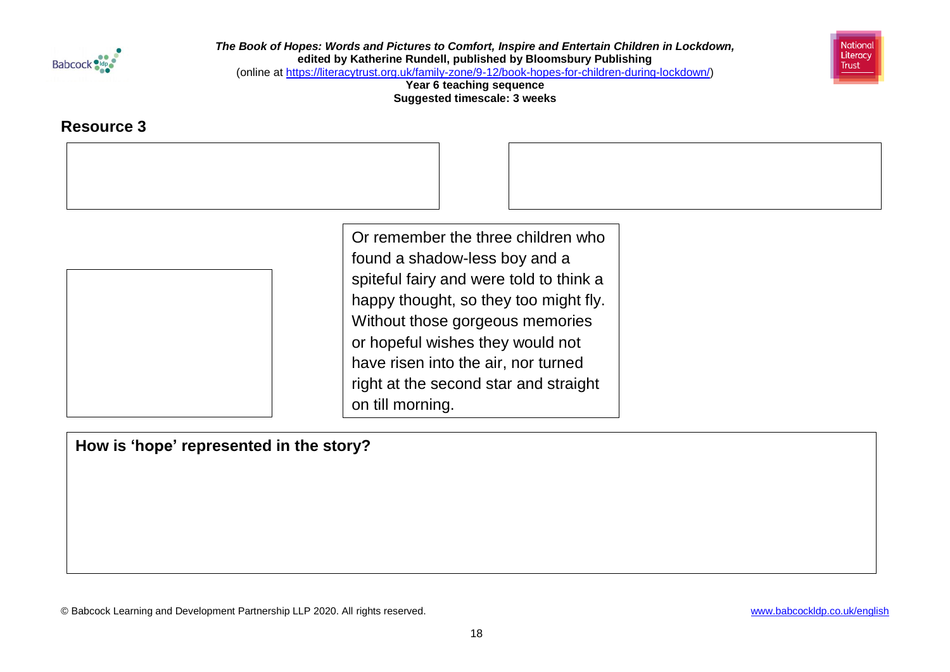

National Literacy **Trust** 

(online at [https://literacytrust.org.uk/family-zone/9-12/book-hopes-for-children-during-lockdown/\)](https://literacytrust.org.uk/family-zone/9-12/book-hopes-for-children-during-lockdown/)

**Year 6 teaching sequence Suggested timescale: 3 weeks**

## **Resource 3**

Or remember the three children who found a shadow-less boy and a spiteful fairy and were told to think a happy thought, so they too might fly. Without those gorgeous memories or hopeful wishes they would not have risen into the air, nor turned right at the second star and straight on till morning.

**How is 'hope' represented in the story?**

© Babcock Learning and Development Partnership LLP 2020. All rights reserved. [www.babcockldp.co.uk/english](http://www.babcockldp.co.uk/english)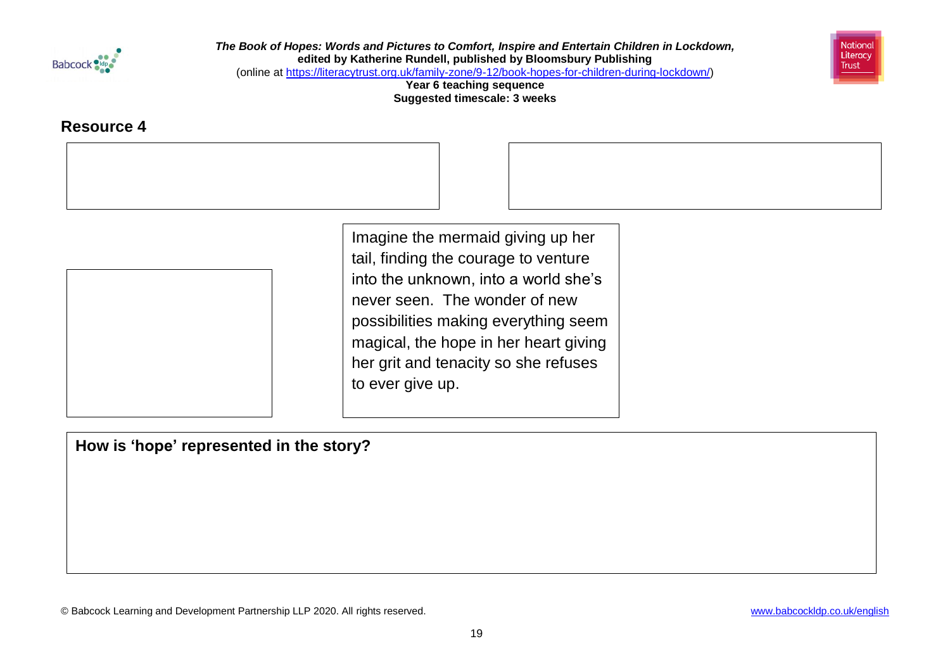

National Literacy **Trust** 

(online at [https://literacytrust.org.uk/family-zone/9-12/book-hopes-for-children-during-lockdown/\)](https://literacytrust.org.uk/family-zone/9-12/book-hopes-for-children-during-lockdown/)

**Year 6 teaching sequence Suggested timescale: 3 weeks**

## **Resource 4**

Imagine the mermaid giving up her tail, finding the courage to venture into the unknown, into a world she's never seen. The wonder of new possibilities making everything seem magical, the hope in her heart giving her grit and tenacity so she refuses to ever give up.

**How is 'hope' represented in the story?**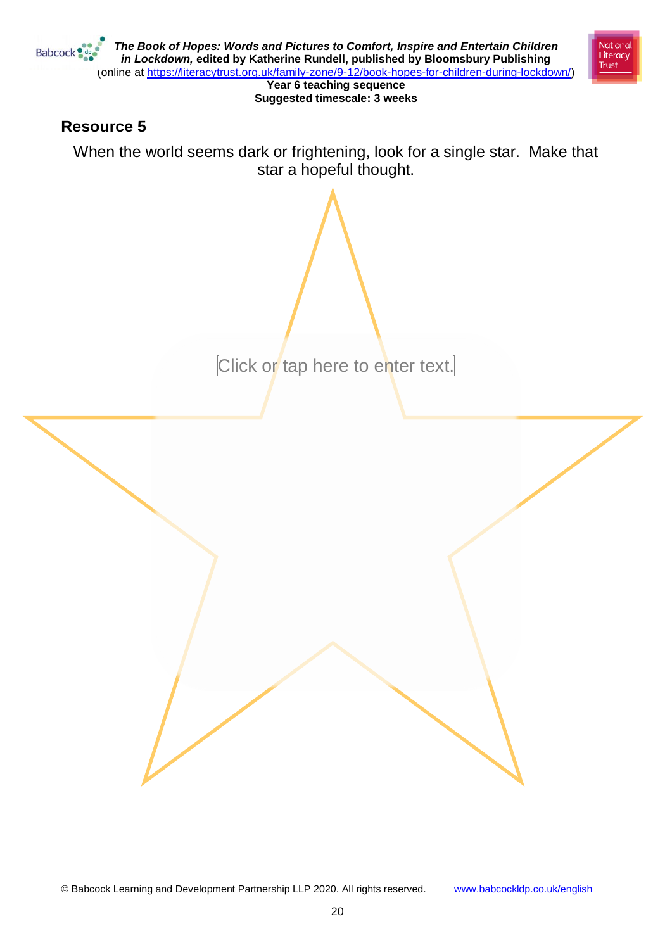

## **Resource 5**

When the world seems dark or frightening, look for a single star. Make that star a hopeful thought.

Click or tap here to enter text.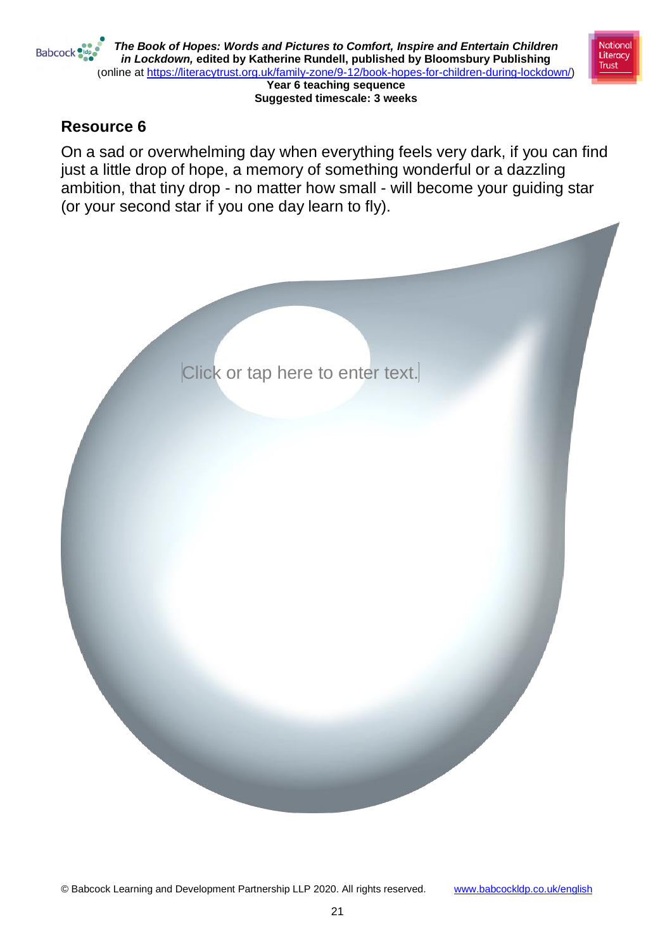

**National** 

Literacy **Trust** 



On a sad or overwhelming day when everything feels very dark, if you can find just a little drop of hope, a memory of something wonderful or a dazzling ambition, that tiny drop - no matter how small - will become your guiding star (or your second star if you one day learn to fly).

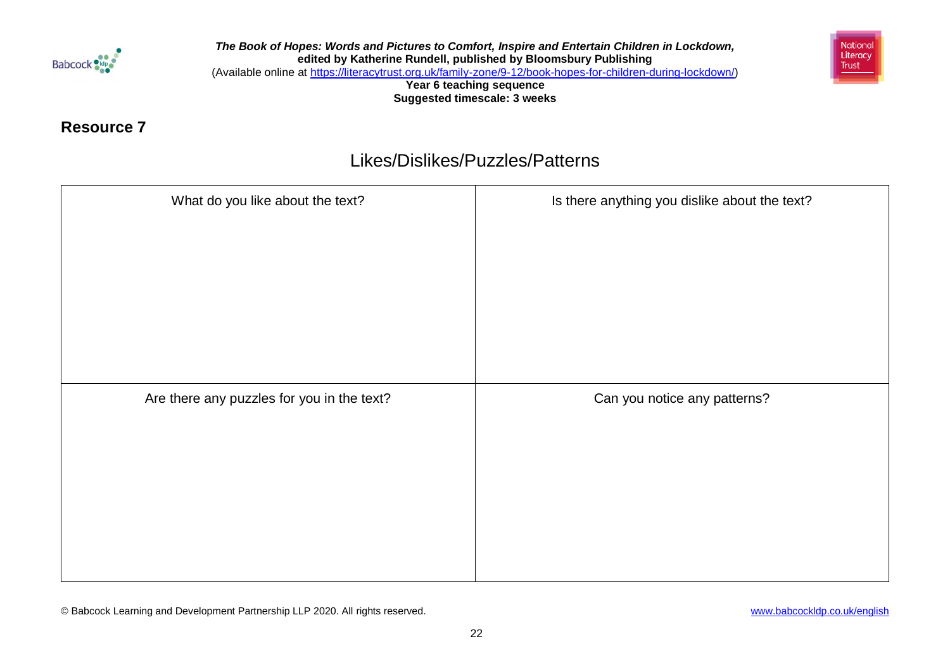

*The Book of Hopes: Words and Pictures to Comfort, Inspire and Entertain Children in Lockdown,*  **edited by Katherine Rundell, published by Bloomsbury Publishing** (Available online at [https://literacytrust.org.uk/family-zone/9-12/book-hopes-for-children-during-lockdown/\)](https://literacytrust.org.uk/family-zone/9-12/book-hopes-for-children-during-lockdown/)

**Year 6 teaching sequence Suggested timescale: 3 weeks**



## **Resource 7**

# Likes/Dislikes/Puzzles/Patterns

| What do you like about the text?           | Is there anything you dislike about the text? |
|--------------------------------------------|-----------------------------------------------|
|                                            |                                               |
|                                            |                                               |
|                                            |                                               |
|                                            |                                               |
|                                            |                                               |
|                                            |                                               |
| Are there any puzzles for you in the text? | Can you notice any patterns?                  |
|                                            |                                               |
|                                            |                                               |
|                                            |                                               |
|                                            |                                               |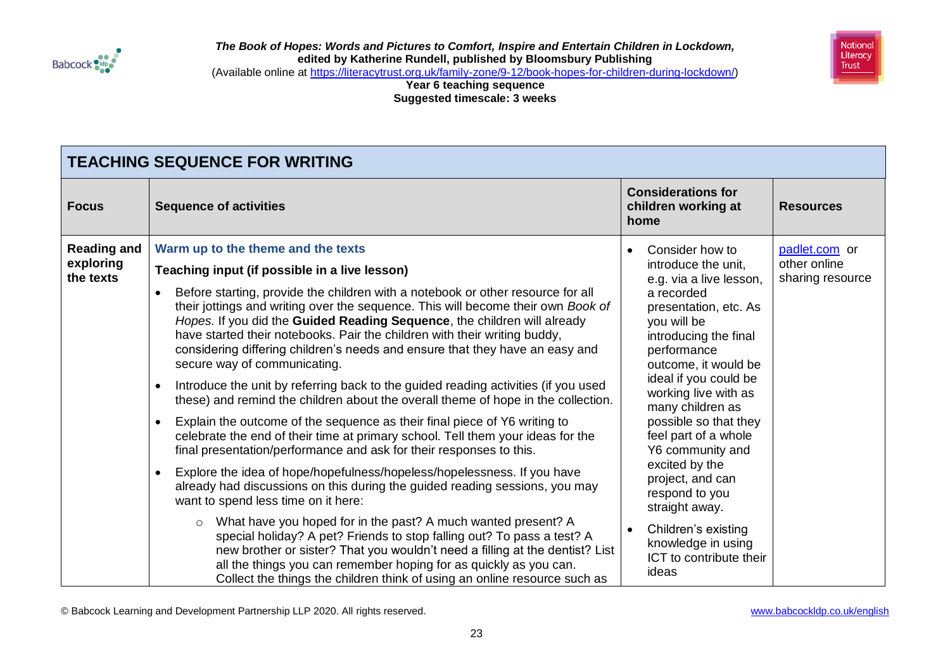



(Available online at [https://literacytrust.org.uk/family-zone/9-12/book-hopes-for-children-during-lockdown/\)](https://literacytrust.org.uk/family-zone/9-12/book-hopes-for-children-during-lockdown/)

**Year 6 teaching sequence Suggested timescale: 3 weeks**

|                                              | <b>TEACHING SEQUENCE FOR WRITING</b>                                                                                                                                                                                                                                                                                                                                                                                                                                                                                                                                                                                                                                                                                                                                                                                                                                                                                                                                                                                                                                                                                                                                                                                                                                                                                                                                                                                                             |                                                                                                                                                                                                                                                                                                                                                                                                                                                                                                               |                                                   |
|----------------------------------------------|--------------------------------------------------------------------------------------------------------------------------------------------------------------------------------------------------------------------------------------------------------------------------------------------------------------------------------------------------------------------------------------------------------------------------------------------------------------------------------------------------------------------------------------------------------------------------------------------------------------------------------------------------------------------------------------------------------------------------------------------------------------------------------------------------------------------------------------------------------------------------------------------------------------------------------------------------------------------------------------------------------------------------------------------------------------------------------------------------------------------------------------------------------------------------------------------------------------------------------------------------------------------------------------------------------------------------------------------------------------------------------------------------------------------------------------------------|---------------------------------------------------------------------------------------------------------------------------------------------------------------------------------------------------------------------------------------------------------------------------------------------------------------------------------------------------------------------------------------------------------------------------------------------------------------------------------------------------------------|---------------------------------------------------|
| <b>Focus</b>                                 | <b>Sequence of activities</b>                                                                                                                                                                                                                                                                                                                                                                                                                                                                                                                                                                                                                                                                                                                                                                                                                                                                                                                                                                                                                                                                                                                                                                                                                                                                                                                                                                                                                    | <b>Considerations for</b><br>children working at<br>home                                                                                                                                                                                                                                                                                                                                                                                                                                                      | <b>Resources</b>                                  |
| <b>Reading and</b><br>exploring<br>the texts | Warm up to the theme and the texts<br>Teaching input (if possible in a live lesson)<br>Before starting, provide the children with a notebook or other resource for all<br>$\bullet$<br>their jottings and writing over the sequence. This will become their own Book of<br>Hopes. If you did the Guided Reading Sequence, the children will already<br>have started their notebooks. Pair the children with their writing buddy,<br>considering differing children's needs and ensure that they have an easy and<br>secure way of communicating.<br>Introduce the unit by referring back to the guided reading activities (if you used<br>$\bullet$<br>these) and remind the children about the overall theme of hope in the collection.<br>Explain the outcome of the sequence as their final piece of Y6 writing to<br>$\bullet$<br>celebrate the end of their time at primary school. Tell them your ideas for the<br>final presentation/performance and ask for their responses to this.<br>Explore the idea of hope/hopefulness/hopeless/hopelessness. If you have<br>$\bullet$<br>already had discussions on this during the guided reading sessions, you may<br>want to spend less time on it here:<br>What have you hoped for in the past? A much wanted present? A<br>$\circ$<br>special holiday? A pet? Friends to stop falling out? To pass a test? A<br>new brother or sister? That you wouldn't need a filling at the dentist? List | Consider how to<br>$\bullet$<br>introduce the unit,<br>e.g. via a live lesson,<br>a recorded<br>presentation, etc. As<br>you will be<br>introducing the final<br>performance<br>outcome, it would be<br>ideal if you could be<br>working live with as<br>many children as<br>possible so that they<br>feel part of a whole<br>Y6 community and<br>excited by the<br>project, and can<br>respond to you<br>straight away.<br>Children's existing<br>$\bullet$<br>knowledge in using<br>ICT to contribute their | padlet.com or<br>other online<br>sharing resource |
|                                              | all the things you can remember hoping for as quickly as you can.<br>Collect the things the children think of using an online resource such as                                                                                                                                                                                                                                                                                                                                                                                                                                                                                                                                                                                                                                                                                                                                                                                                                                                                                                                                                                                                                                                                                                                                                                                                                                                                                                   | ideas                                                                                                                                                                                                                                                                                                                                                                                                                                                                                                         |                                                   |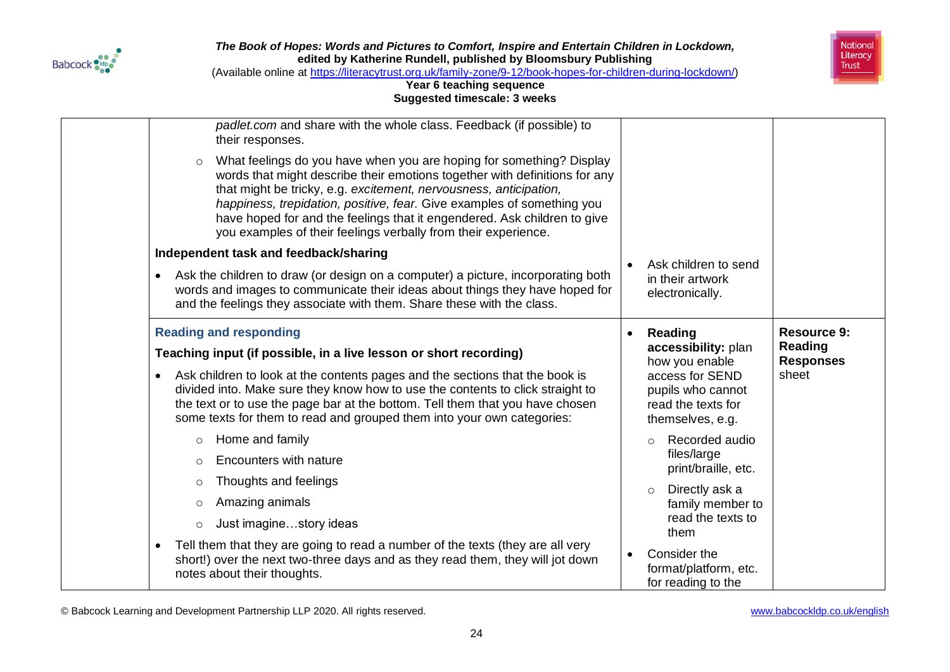



(Available online at [https://literacytrust.org.uk/family-zone/9-12/book-hopes-for-children-during-lockdown/\)](https://literacytrust.org.uk/family-zone/9-12/book-hopes-for-children-during-lockdown/)

### **Year 6 teaching sequence Suggested timescale: 3 weeks**

| $\circ$<br>$\bullet$                                               | padlet.com and share with the whole class. Feedback (if possible) to<br>their responses.<br>What feelings do you have when you are hoping for something? Display<br>words that might describe their emotions together with definitions for any<br>that might be tricky, e.g. excitement, nervousness, anticipation,<br>happiness, trepidation, positive, fear. Give examples of something you<br>have hoped for and the feelings that it engendered. Ask children to give<br>you examples of their feelings verbally from their experience.<br>Independent task and feedback/sharing<br>Ask the children to draw (or design on a computer) a picture, incorporating both<br>words and images to communicate their ideas about things they have hoped for<br>and the feelings they associate with them. Share these with the class. | Ask children to send<br>in their artwork<br>electronically.                                                                                                                                                                                                                                                                                                                   |                                                            |
|--------------------------------------------------------------------|------------------------------------------------------------------------------------------------------------------------------------------------------------------------------------------------------------------------------------------------------------------------------------------------------------------------------------------------------------------------------------------------------------------------------------------------------------------------------------------------------------------------------------------------------------------------------------------------------------------------------------------------------------------------------------------------------------------------------------------------------------------------------------------------------------------------------------|-------------------------------------------------------------------------------------------------------------------------------------------------------------------------------------------------------------------------------------------------------------------------------------------------------------------------------------------------------------------------------|------------------------------------------------------------|
| $\bullet$<br>$\circ$<br>$\circ$<br>$\circ$<br>$\circ$<br>$\bullet$ | <b>Reading and responding</b><br>Teaching input (if possible, in a live lesson or short recording)<br>Ask children to look at the contents pages and the sections that the book is<br>divided into. Make sure they know how to use the contents to click straight to<br>the text or to use the page bar at the bottom. Tell them that you have chosen<br>some texts for them to read and grouped them into your own categories:<br>Home and family<br>Encounters with nature<br>Thoughts and feelings<br>Amazing animals<br>Just imaginestory ideas<br>Tell them that they are going to read a number of the texts (they are all very<br>short!) over the next two-three days and as they read them, they will jot down<br>notes about their thoughts.                                                                             | Reading<br>$\bullet$<br>accessibility: plan<br>how you enable<br>access for SEND<br>pupils who cannot<br>read the texts for<br>themselves, e.g.<br>Recorded audio<br>$\Omega$<br>files/large<br>print/braille, etc.<br>Directly ask a<br>$\circ$<br>family member to<br>read the texts to<br>them<br>Consider the<br>$\bullet$<br>format/platform, etc.<br>for reading to the | <b>Resource 9:</b><br>Reading<br><b>Responses</b><br>sheet |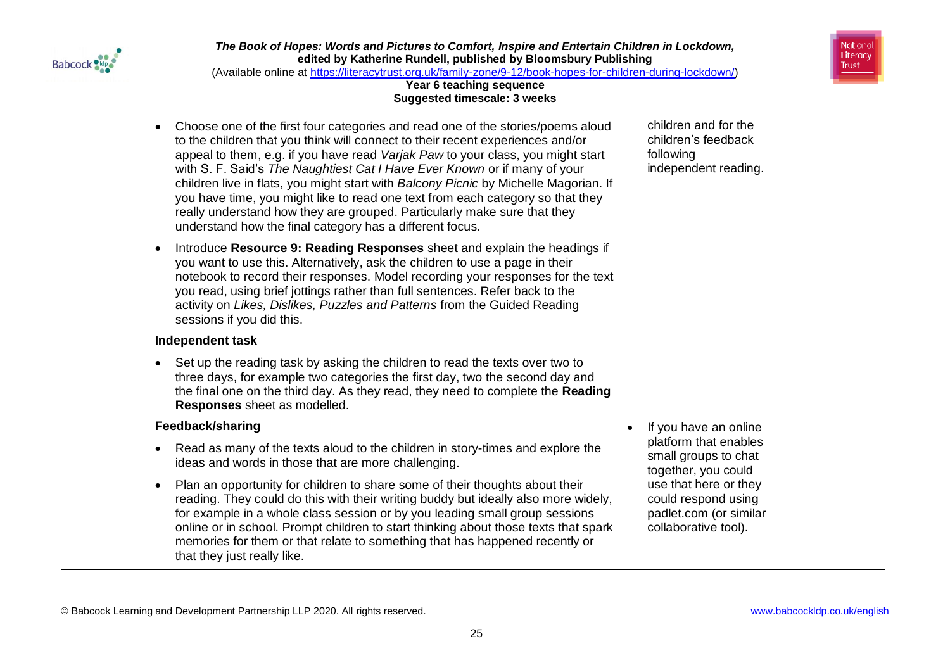



(Available online at [https://literacytrust.org.uk/family-zone/9-12/book-hopes-for-children-during-lockdown/\)](https://literacytrust.org.uk/family-zone/9-12/book-hopes-for-children-during-lockdown/)

| Choose one of the first four categories and read one of the stories/poems aloud<br>to the children that you think will connect to their recent experiences and/or<br>appeal to them, e.g. if you have read Varjak Paw to your class, you might start<br>with S. F. Said's The Naughtiest Cat I Have Ever Known or if many of your<br>children live in flats, you might start with Balcony Picnic by Michelle Magorian. If<br>you have time, you might like to read one text from each category so that they<br>really understand how they are grouped. Particularly make sure that they<br>understand how the final category has a different focus. | children and for the<br>children's feedback<br>following<br>independent reading.               |
|-----------------------------------------------------------------------------------------------------------------------------------------------------------------------------------------------------------------------------------------------------------------------------------------------------------------------------------------------------------------------------------------------------------------------------------------------------------------------------------------------------------------------------------------------------------------------------------------------------------------------------------------------------|------------------------------------------------------------------------------------------------|
| Introduce Resource 9: Reading Responses sheet and explain the headings if<br>you want to use this. Alternatively, ask the children to use a page in their<br>notebook to record their responses. Model recording your responses for the text<br>you read, using brief jottings rather than full sentences. Refer back to the<br>activity on Likes, Dislikes, Puzzles and Patterns from the Guided Reading<br>sessions if you did this.                                                                                                                                                                                                              |                                                                                                |
| Independent task                                                                                                                                                                                                                                                                                                                                                                                                                                                                                                                                                                                                                                    |                                                                                                |
| Set up the reading task by asking the children to read the texts over two to<br>three days, for example two categories the first day, two the second day and<br>the final one on the third day. As they read, they need to complete the Reading<br>Responses sheet as modelled.                                                                                                                                                                                                                                                                                                                                                                     |                                                                                                |
| Feedback/sharing                                                                                                                                                                                                                                                                                                                                                                                                                                                                                                                                                                                                                                    | If you have an online                                                                          |
| Read as many of the texts aloud to the children in story-times and explore the<br>ideas and words in those that are more challenging.                                                                                                                                                                                                                                                                                                                                                                                                                                                                                                               | platform that enables<br>small groups to chat<br>together, you could                           |
| Plan an opportunity for children to share some of their thoughts about their<br>reading. They could do this with their writing buddy but ideally also more widely,<br>for example in a whole class session or by you leading small group sessions<br>online or in school. Prompt children to start thinking about those texts that spark<br>memories for them or that relate to something that has happened recently or<br>that they just really like.                                                                                                                                                                                              | use that here or they<br>could respond using<br>padlet.com (or similar<br>collaborative tool). |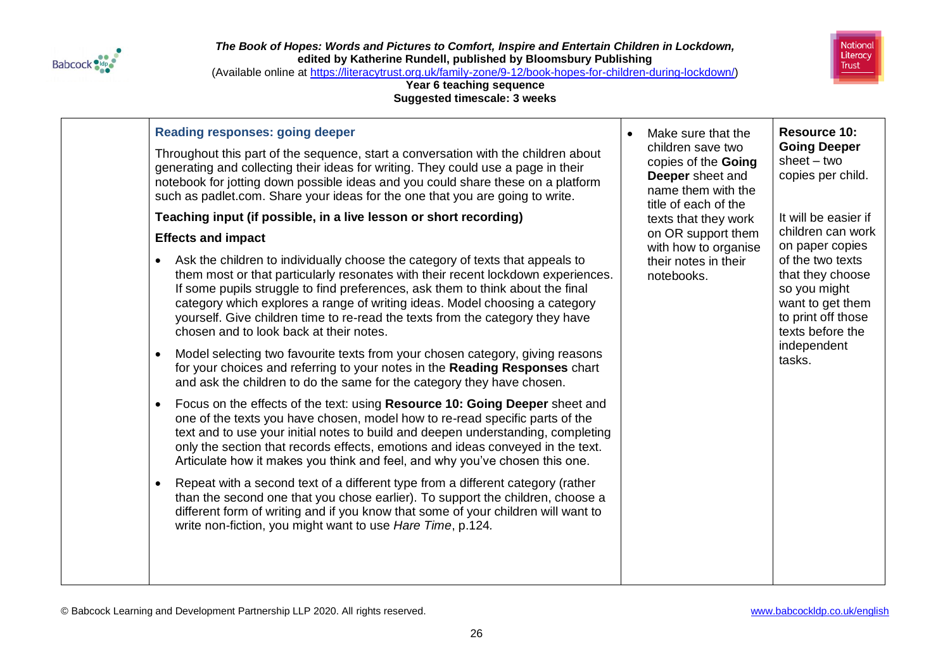



(Available online at [https://literacytrust.org.uk/family-zone/9-12/book-hopes-for-children-during-lockdown/\)](https://literacytrust.org.uk/family-zone/9-12/book-hopes-for-children-during-lockdown/)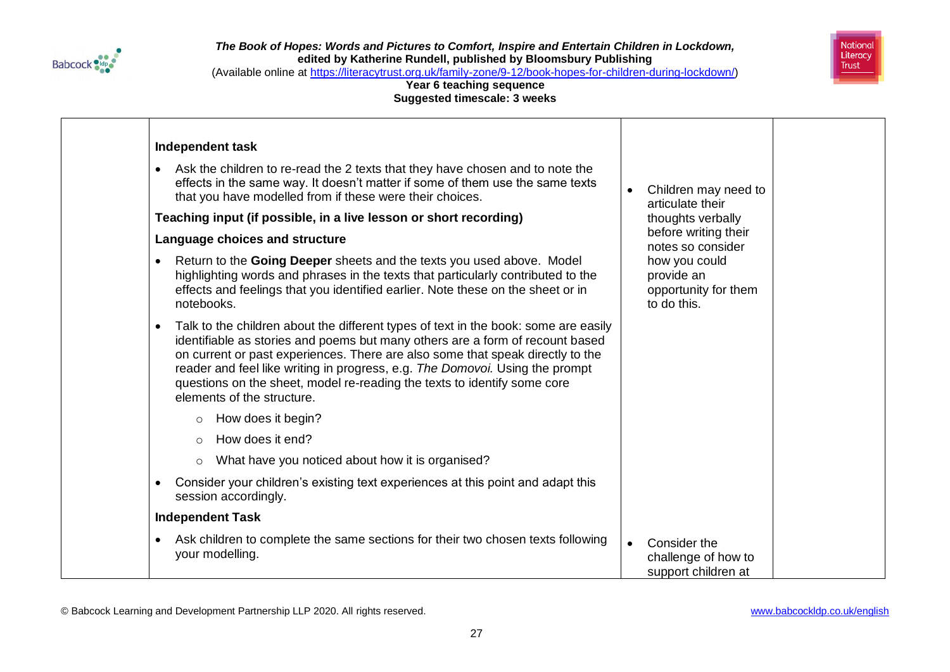



(Available online at [https://literacytrust.org.uk/family-zone/9-12/book-hopes-for-children-during-lockdown/\)](https://literacytrust.org.uk/family-zone/9-12/book-hopes-for-children-during-lockdown/)

| <b>Independent task</b>                                                                                                                                                                                                                                                                                                                                                                                                                                       |           |                                                                    |  |
|---------------------------------------------------------------------------------------------------------------------------------------------------------------------------------------------------------------------------------------------------------------------------------------------------------------------------------------------------------------------------------------------------------------------------------------------------------------|-----------|--------------------------------------------------------------------|--|
| Ask the children to re-read the 2 texts that they have chosen and to note the<br>$\bullet$<br>effects in the same way. It doesn't matter if some of them use the same texts<br>that you have modelled from if these were their choices.                                                                                                                                                                                                                       |           | Children may need to<br>articulate their                           |  |
| Teaching input (if possible, in a live lesson or short recording)                                                                                                                                                                                                                                                                                                                                                                                             |           | thoughts verbally                                                  |  |
| Language choices and structure                                                                                                                                                                                                                                                                                                                                                                                                                                |           | before writing their<br>notes so consider                          |  |
| Return to the Going Deeper sheets and the texts you used above. Model<br>$\bullet$<br>highlighting words and phrases in the texts that particularly contributed to the<br>effects and feelings that you identified earlier. Note these on the sheet or in<br>notebooks.                                                                                                                                                                                       |           | how you could<br>provide an<br>opportunity for them<br>to do this. |  |
| Talk to the children about the different types of text in the book: some are easily<br>$\bullet$<br>identifiable as stories and poems but many others are a form of recount based<br>on current or past experiences. There are also some that speak directly to the<br>reader and feel like writing in progress, e.g. The Domovoi. Using the prompt<br>questions on the sheet, model re-reading the texts to identify some core<br>elements of the structure. |           |                                                                    |  |
| How does it begin?<br>$\circ$                                                                                                                                                                                                                                                                                                                                                                                                                                 |           |                                                                    |  |
| How does it end?<br>$\circ$                                                                                                                                                                                                                                                                                                                                                                                                                                   |           |                                                                    |  |
| What have you noticed about how it is organised?<br>$\circ$                                                                                                                                                                                                                                                                                                                                                                                                   |           |                                                                    |  |
| Consider your children's existing text experiences at this point and adapt this<br>$\bullet$<br>session accordingly.                                                                                                                                                                                                                                                                                                                                          |           |                                                                    |  |
| <b>Independent Task</b>                                                                                                                                                                                                                                                                                                                                                                                                                                       |           |                                                                    |  |
| Ask children to complete the same sections for their two chosen texts following<br>$\bullet$<br>your modelling.                                                                                                                                                                                                                                                                                                                                               | $\bullet$ | Consider the<br>challenge of how to<br>support children at         |  |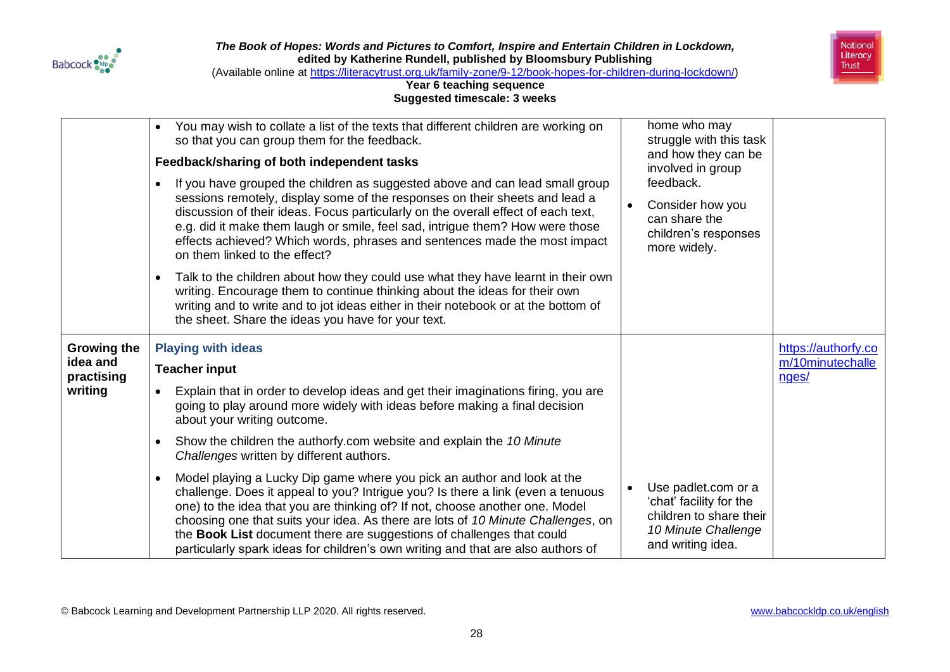



(Available online at [https://literacytrust.org.uk/family-zone/9-12/book-hopes-for-children-during-lockdown/\)](https://literacytrust.org.uk/family-zone/9-12/book-hopes-for-children-during-lockdown/)

|                        | You may wish to collate a list of the texts that different children are working on<br>$\bullet$<br>so that you can group them for the feedback.                                                                                                                                                                                                                                                                                                 | home who may<br>struggle with this task<br>and how they can be                         |                           |
|------------------------|-------------------------------------------------------------------------------------------------------------------------------------------------------------------------------------------------------------------------------------------------------------------------------------------------------------------------------------------------------------------------------------------------------------------------------------------------|----------------------------------------------------------------------------------------|---------------------------|
|                        | Feedback/sharing of both independent tasks                                                                                                                                                                                                                                                                                                                                                                                                      | involved in group                                                                      |                           |
|                        | If you have grouped the children as suggested above and can lead small group<br>sessions remotely, display some of the responses on their sheets and lead a<br>discussion of their ideas. Focus particularly on the overall effect of each text,<br>e.g. did it make them laugh or smile, feel sad, intrigue them? How were those<br>effects achieved? Which words, phrases and sentences made the most impact<br>on them linked to the effect? | feedback.<br>Consider how you<br>can share the<br>children's responses<br>more widely. |                           |
|                        | Talk to the children about how they could use what they have learnt in their own<br>writing. Encourage them to continue thinking about the ideas for their own<br>writing and to write and to jot ideas either in their notebook or at the bottom of<br>the sheet. Share the ideas you have for your text.                                                                                                                                      |                                                                                        |                           |
| <b>Growing the</b>     | <b>Playing with ideas</b>                                                                                                                                                                                                                                                                                                                                                                                                                       |                                                                                        | https://authorfy.co       |
| idea and<br>practising | <b>Teacher input</b>                                                                                                                                                                                                                                                                                                                                                                                                                            |                                                                                        | m/10minutechalle<br>nges/ |
| writing                | Explain that in order to develop ideas and get their imaginations firing, you are<br>$\bullet$<br>going to play around more widely with ideas before making a final decision<br>about your writing outcome.                                                                                                                                                                                                                                     |                                                                                        |                           |
|                        | Show the children the authorfy.com website and explain the 10 Minute<br>$\bullet$<br>Challenges written by different authors.                                                                                                                                                                                                                                                                                                                   |                                                                                        |                           |
|                        | Model playing a Lucky Dip game where you pick an author and look at the<br>challenge. Does it appeal to you? Intrigue you? Is there a link (even a tenuous                                                                                                                                                                                                                                                                                      | Use padlet.com or a<br>'chat' facility for the                                         |                           |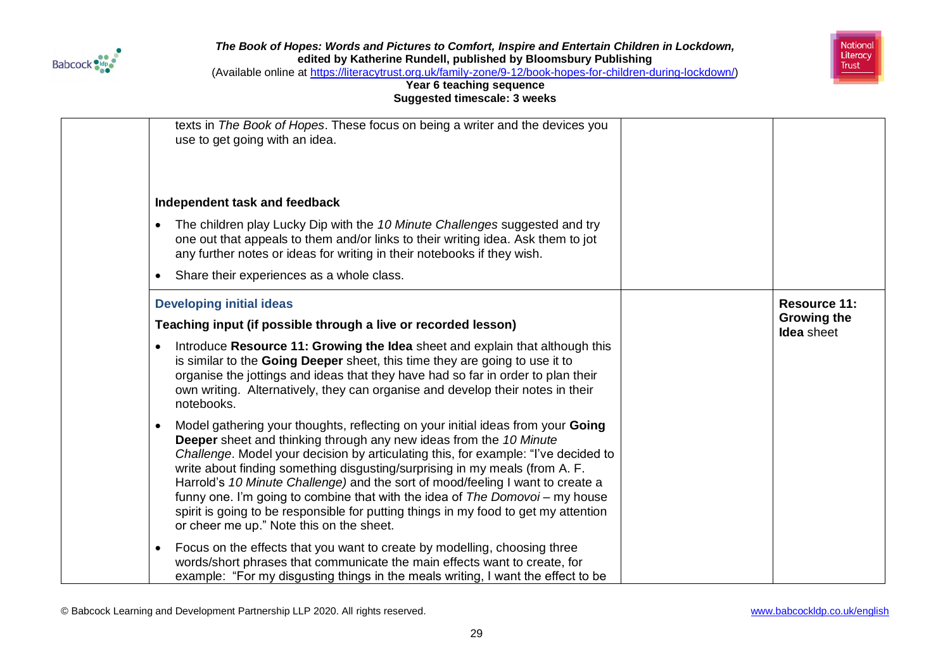



(Available online at [https://literacytrust.org.uk/family-zone/9-12/book-hopes-for-children-during-lockdown/\)](https://literacytrust.org.uk/family-zone/9-12/book-hopes-for-children-during-lockdown/)

| texts in The Book of Hopes. These focus on being a writer and the devices you<br>use to get going with an idea.<br>Independent task and feedback<br>The children play Lucky Dip with the 10 Minute Challenges suggested and try<br>$\bullet$<br>one out that appeals to them and/or links to their writing idea. Ask them to jot<br>any further notes or ideas for writing in their notebooks if they wish.                                                                                                                                                                                                                                         |                                         |
|-----------------------------------------------------------------------------------------------------------------------------------------------------------------------------------------------------------------------------------------------------------------------------------------------------------------------------------------------------------------------------------------------------------------------------------------------------------------------------------------------------------------------------------------------------------------------------------------------------------------------------------------------------|-----------------------------------------|
| Share their experiences as a whole class.<br>$\bullet$                                                                                                                                                                                                                                                                                                                                                                                                                                                                                                                                                                                              |                                         |
| <b>Developing initial ideas</b>                                                                                                                                                                                                                                                                                                                                                                                                                                                                                                                                                                                                                     | <b>Resource 11:</b>                     |
| Teaching input (if possible through a live or recorded lesson)                                                                                                                                                                                                                                                                                                                                                                                                                                                                                                                                                                                      | <b>Growing the</b><br><b>Idea</b> sheet |
| Introduce Resource 11: Growing the Idea sheet and explain that although this<br>$\bullet$<br>is similar to the Going Deeper sheet, this time they are going to use it to<br>organise the jottings and ideas that they have had so far in order to plan their<br>own writing. Alternatively, they can organise and develop their notes in their<br>notebooks.                                                                                                                                                                                                                                                                                        |                                         |
| Model gathering your thoughts, reflecting on your initial ideas from your Going<br>$\bullet$<br><b>Deeper</b> sheet and thinking through any new ideas from the 10 Minute<br>Challenge. Model your decision by articulating this, for example: "I've decided to<br>write about finding something disgusting/surprising in my meals (from A. F.<br>Harrold's 10 Minute Challenge) and the sort of mood/feeling I want to create a<br>funny one. I'm going to combine that with the idea of The Domovoi - my house<br>spirit is going to be responsible for putting things in my food to get my attention<br>or cheer me up." Note this on the sheet. |                                         |
| Focus on the effects that you want to create by modelling, choosing three<br>$\bullet$<br>words/short phrases that communicate the main effects want to create, for<br>example: "For my disgusting things in the meals writing, I want the effect to be                                                                                                                                                                                                                                                                                                                                                                                             |                                         |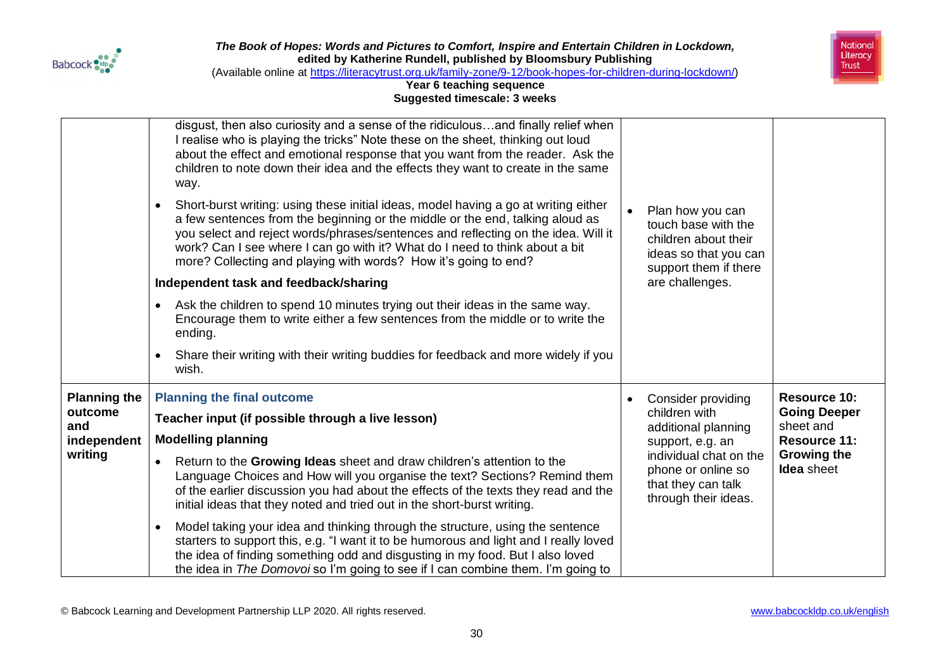



(Available online at [https://literacytrust.org.uk/family-zone/9-12/book-hopes-for-children-during-lockdown/\)](https://literacytrust.org.uk/family-zone/9-12/book-hopes-for-children-during-lockdown/)

|                     | disgust, then also curiosity and a sense of the ridiculousand finally relief when<br>I realise who is playing the tricks" Note these on the sheet, thinking out loud<br>about the effect and emotional response that you want from the reader. Ask the<br>children to note down their idea and the effects they want to create in the same<br>way.                                                          |                                                                                                                   |                                         |
|---------------------|-------------------------------------------------------------------------------------------------------------------------------------------------------------------------------------------------------------------------------------------------------------------------------------------------------------------------------------------------------------------------------------------------------------|-------------------------------------------------------------------------------------------------------------------|-----------------------------------------|
|                     | Short-burst writing: using these initial ideas, model having a go at writing either<br>a few sentences from the beginning or the middle or the end, talking aloud as<br>you select and reject words/phrases/sentences and reflecting on the idea. Will it<br>work? Can I see where I can go with it? What do I need to think about a bit<br>more? Collecting and playing with words? How it's going to end? | Plan how you can<br>touch base with the<br>children about their<br>ideas so that you can<br>support them if there |                                         |
|                     | Independent task and feedback/sharing                                                                                                                                                                                                                                                                                                                                                                       | are challenges.                                                                                                   |                                         |
|                     | Ask the children to spend 10 minutes trying out their ideas in the same way.<br>Encourage them to write either a few sentences from the middle or to write the<br>ending.                                                                                                                                                                                                                                   |                                                                                                                   |                                         |
|                     | Share their writing with their writing buddies for feedback and more widely if you<br>wish.                                                                                                                                                                                                                                                                                                                 |                                                                                                                   |                                         |
| <b>Planning the</b> | <b>Planning the final outcome</b>                                                                                                                                                                                                                                                                                                                                                                           | Consider providing                                                                                                | <b>Resource 10:</b>                     |
| outcome<br>and      | Teacher input (if possible through a live lesson)                                                                                                                                                                                                                                                                                                                                                           | children with<br>additional planning                                                                              | <b>Going Deeper</b><br>sheet and        |
| independent         | <b>Modelling planning</b>                                                                                                                                                                                                                                                                                                                                                                                   | support, e.g. an                                                                                                  | <b>Resource 11:</b>                     |
| writing             | Return to the Growing Ideas sheet and draw children's attention to the<br>Language Choices and How will you organise the text? Sections? Remind them<br>of the earlier discussion you had about the effects of the texts they read and the<br>initial ideas that they noted and tried out in the short-burst writing.                                                                                       | individual chat on the<br>phone or online so<br>that they can talk<br>through their ideas.                        | <b>Growing the</b><br><b>Idea</b> sheet |
|                     | Model taking your idea and thinking through the structure, using the sentence<br>starters to support this, e.g. "I want it to be humorous and light and I really loved<br>the idea of finding something odd and disgusting in my food. But I also loved<br>the idea in The Domovoi so I'm going to see if I can combine them. I'm going to                                                                  |                                                                                                                   |                                         |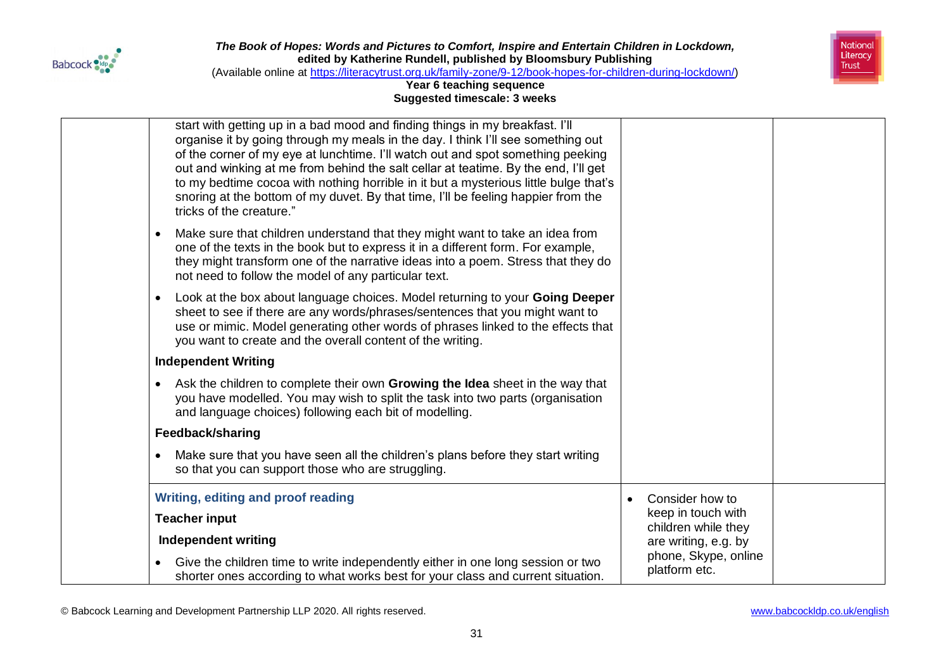



(Available online at [https://literacytrust.org.uk/family-zone/9-12/book-hopes-for-children-during-lockdown/\)](https://literacytrust.org.uk/family-zone/9-12/book-hopes-for-children-during-lockdown/)

### **Year 6 teaching sequence Suggested timescale: 3 weeks**

| start with getting up in a bad mood and finding things in my breakfast. I'll<br>organise it by going through my meals in the day. I think I'll see something out<br>of the corner of my eye at lunchtime. I'll watch out and spot something peeking<br>out and winking at me from behind the salt cellar at teatime. By the end, I'll get<br>to my bedtime cocoa with nothing horrible in it but a mysterious little bulge that's<br>snoring at the bottom of my duvet. By that time, I'll be feeling happier from the<br>tricks of the creature." |                                           |  |
|----------------------------------------------------------------------------------------------------------------------------------------------------------------------------------------------------------------------------------------------------------------------------------------------------------------------------------------------------------------------------------------------------------------------------------------------------------------------------------------------------------------------------------------------------|-------------------------------------------|--|
| Make sure that children understand that they might want to take an idea from<br>one of the texts in the book but to express it in a different form. For example,<br>they might transform one of the narrative ideas into a poem. Stress that they do<br>not need to follow the model of any particular text.                                                                                                                                                                                                                                       |                                           |  |
| Look at the box about language choices. Model returning to your Going Deeper<br>$\bullet$<br>sheet to see if there are any words/phrases/sentences that you might want to<br>use or mimic. Model generating other words of phrases linked to the effects that<br>you want to create and the overall content of the writing.                                                                                                                                                                                                                        |                                           |  |
| <b>Independent Writing</b>                                                                                                                                                                                                                                                                                                                                                                                                                                                                                                                         |                                           |  |
| Ask the children to complete their own Growing the Idea sheet in the way that<br>you have modelled. You may wish to split the task into two parts (organisation<br>and language choices) following each bit of modelling.                                                                                                                                                                                                                                                                                                                          |                                           |  |
| Feedback/sharing                                                                                                                                                                                                                                                                                                                                                                                                                                                                                                                                   |                                           |  |
| Make sure that you have seen all the children's plans before they start writing<br>so that you can support those who are struggling.                                                                                                                                                                                                                                                                                                                                                                                                               |                                           |  |
| Writing, editing and proof reading                                                                                                                                                                                                                                                                                                                                                                                                                                                                                                                 | Consider how to                           |  |
| <b>Teacher input</b>                                                                                                                                                                                                                                                                                                                                                                                                                                                                                                                               | keep in touch with<br>children while they |  |
| Independent writing                                                                                                                                                                                                                                                                                                                                                                                                                                                                                                                                | are writing, e.g. by                      |  |
| Give the children time to write independently either in one long session or two<br>shorter ones according to what works best for your class and current situation.                                                                                                                                                                                                                                                                                                                                                                                 | phone, Skype, online<br>platform etc.     |  |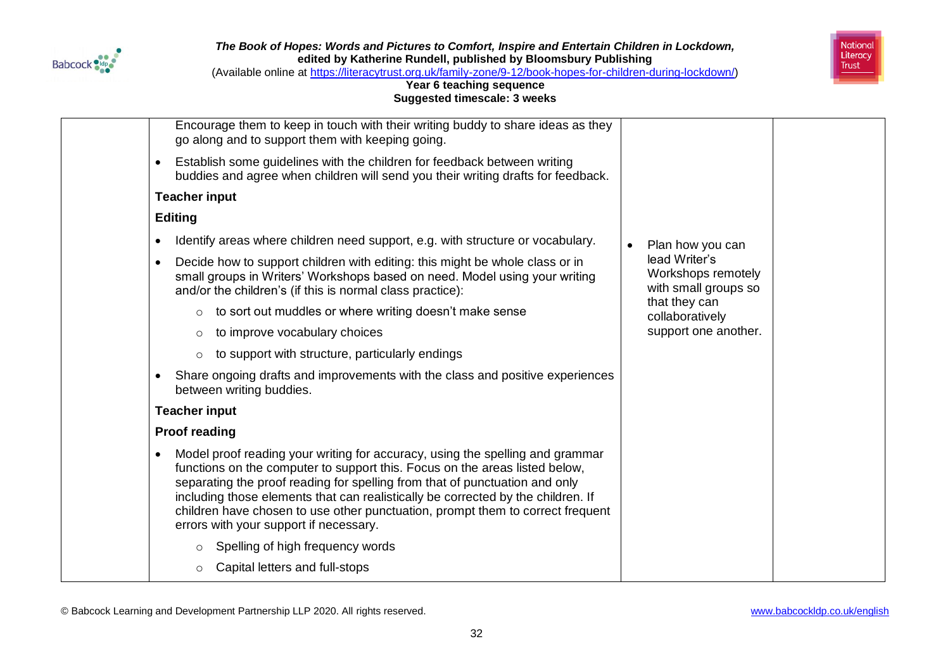



(Available online at [https://literacytrust.org.uk/family-zone/9-12/book-hopes-for-children-during-lockdown/\)](https://literacytrust.org.uk/family-zone/9-12/book-hopes-for-children-during-lockdown/)

| Encourage them to keep in touch with their writing buddy to share ideas as they<br>go along and to support them with keeping going.                                                                                                                                                                                                                                                                                                                                      |                                                             |
|--------------------------------------------------------------------------------------------------------------------------------------------------------------------------------------------------------------------------------------------------------------------------------------------------------------------------------------------------------------------------------------------------------------------------------------------------------------------------|-------------------------------------------------------------|
| Establish some guidelines with the children for feedback between writing<br>$\bullet$<br>buddies and agree when children will send you their writing drafts for feedback.                                                                                                                                                                                                                                                                                                |                                                             |
| <b>Teacher input</b>                                                                                                                                                                                                                                                                                                                                                                                                                                                     |                                                             |
| <b>Editing</b>                                                                                                                                                                                                                                                                                                                                                                                                                                                           |                                                             |
| Identify areas where children need support, e.g. with structure or vocabulary.<br>$\bullet$                                                                                                                                                                                                                                                                                                                                                                              | Plan how you can                                            |
| Decide how to support children with editing: this might be whole class or in<br>$\bullet$<br>small groups in Writers' Workshops based on need. Model using your writing<br>and/or the children's (if this is normal class practice):                                                                                                                                                                                                                                     | lead Writer's<br>Workshops remotely<br>with small groups so |
| to sort out muddles or where writing doesn't make sense<br>$\circ$                                                                                                                                                                                                                                                                                                                                                                                                       | that they can<br>collaboratively                            |
| to improve vocabulary choices<br>$\circ$                                                                                                                                                                                                                                                                                                                                                                                                                                 | support one another.                                        |
| to support with structure, particularly endings<br>$\circ$                                                                                                                                                                                                                                                                                                                                                                                                               |                                                             |
| Share ongoing drafts and improvements with the class and positive experiences<br>between writing buddies.                                                                                                                                                                                                                                                                                                                                                                |                                                             |
| <b>Teacher input</b>                                                                                                                                                                                                                                                                                                                                                                                                                                                     |                                                             |
| <b>Proof reading</b>                                                                                                                                                                                                                                                                                                                                                                                                                                                     |                                                             |
| Model proof reading your writing for accuracy, using the spelling and grammar<br>$\bullet$<br>functions on the computer to support this. Focus on the areas listed below,<br>separating the proof reading for spelling from that of punctuation and only<br>including those elements that can realistically be corrected by the children. If<br>children have chosen to use other punctuation, prompt them to correct frequent<br>errors with your support if necessary. |                                                             |
| Spelling of high frequency words<br>$\circ$                                                                                                                                                                                                                                                                                                                                                                                                                              |                                                             |
| Capital letters and full-stops<br>$\circ$                                                                                                                                                                                                                                                                                                                                                                                                                                |                                                             |
|                                                                                                                                                                                                                                                                                                                                                                                                                                                                          |                                                             |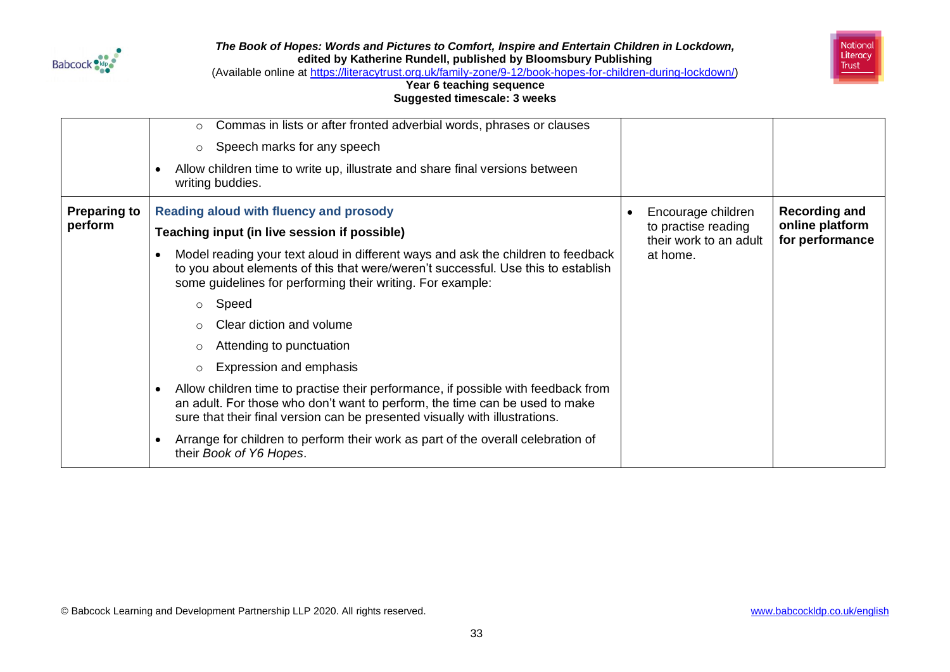



(Available online at [https://literacytrust.org.uk/family-zone/9-12/book-hopes-for-children-during-lockdown/\)](https://literacytrust.org.uk/family-zone/9-12/book-hopes-for-children-during-lockdown/)

|                     | Commas in lists or after fronted adverbial words, phrases or clauses<br>$\circ$                                                                                                                                                                 |                                               |                                    |
|---------------------|-------------------------------------------------------------------------------------------------------------------------------------------------------------------------------------------------------------------------------------------------|-----------------------------------------------|------------------------------------|
|                     | Speech marks for any speech<br>$\circ$<br>Allow children time to write up, illustrate and share final versions between                                                                                                                          |                                               |                                    |
|                     | writing buddies.                                                                                                                                                                                                                                |                                               |                                    |
| <b>Preparing to</b> | <b>Reading aloud with fluency and prosody</b>                                                                                                                                                                                                   | Encourage children                            | <b>Recording and</b>               |
| perform             | Teaching input (in live session if possible)                                                                                                                                                                                                    | to practise reading<br>their work to an adult | online platform<br>for performance |
|                     | Model reading your text aloud in different ways and ask the children to feedback<br>to you about elements of this that were/weren't successful. Use this to establish<br>some guidelines for performing their writing. For example:             | at home.                                      |                                    |
|                     | Speed<br>$\circ$                                                                                                                                                                                                                                |                                               |                                    |
|                     | Clear diction and volume<br>$\circ$                                                                                                                                                                                                             |                                               |                                    |
|                     | Attending to punctuation<br>$\circ$                                                                                                                                                                                                             |                                               |                                    |
|                     | Expression and emphasis<br>$\circ$                                                                                                                                                                                                              |                                               |                                    |
|                     | Allow children time to practise their performance, if possible with feedback from<br>an adult. For those who don't want to perform, the time can be used to make<br>sure that their final version can be presented visually with illustrations. |                                               |                                    |
|                     | Arrange for children to perform their work as part of the overall celebration of<br>their Book of Y6 Hopes.                                                                                                                                     |                                               |                                    |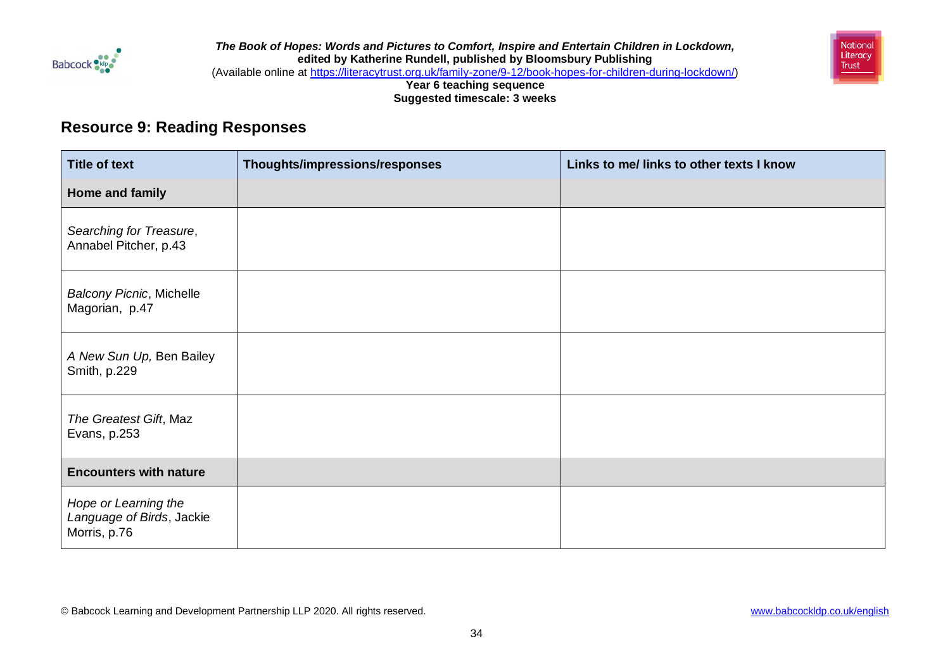

*The Book of Hopes: Words and Pictures to Comfort, Inspire and Entertain Children in Lockdown,*  **edited by Katherine Rundell, published by Bloomsbury Publishing** (Available online at [https://literacytrust.org.uk/family-zone/9-12/book-hopes-for-children-during-lockdown/\)](https://literacytrust.org.uk/family-zone/9-12/book-hopes-for-children-during-lockdown/) National Literacy **Trust** 

**Year 6 teaching sequence Suggested timescale: 3 weeks**

## **Resource 9: Reading Responses**

| <b>Title of text</b>                                              | Thoughts/impressions/responses | Links to me/ links to other texts I know |
|-------------------------------------------------------------------|--------------------------------|------------------------------------------|
| Home and family                                                   |                                |                                          |
| Searching for Treasure,<br>Annabel Pitcher, p.43                  |                                |                                          |
| <b>Balcony Picnic, Michelle</b><br>Magorian, p.47                 |                                |                                          |
| A New Sun Up, Ben Bailey<br>Smith, p.229                          |                                |                                          |
| The Greatest Gift, Maz<br>Evans, p.253                            |                                |                                          |
| <b>Encounters with nature</b>                                     |                                |                                          |
| Hope or Learning the<br>Language of Birds, Jackie<br>Morris, p.76 |                                |                                          |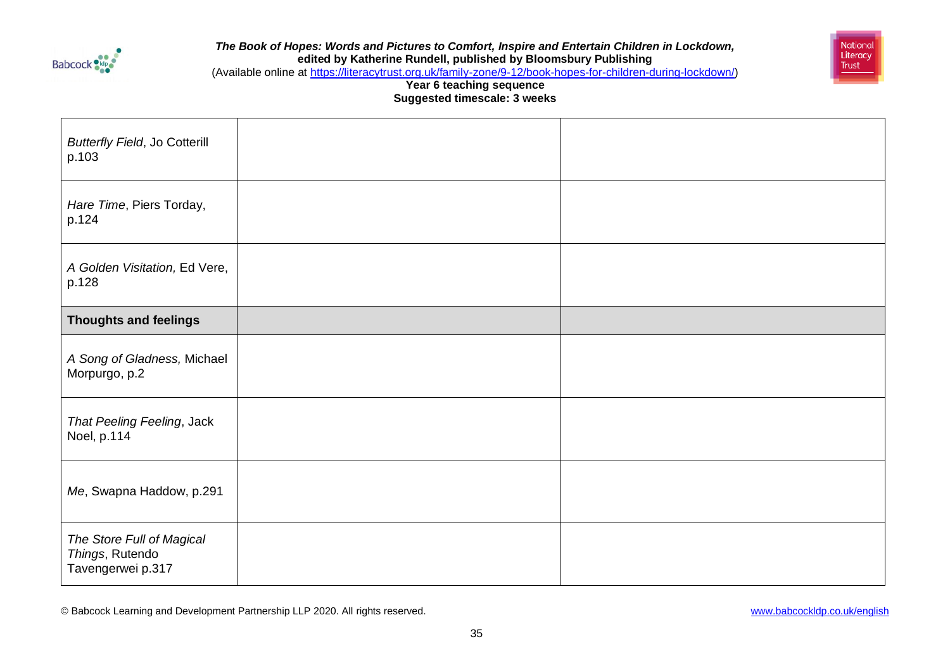



(Available online at [https://literacytrust.org.uk/family-zone/9-12/book-hopes-for-children-during-lockdown/\)](https://literacytrust.org.uk/family-zone/9-12/book-hopes-for-children-during-lockdown/)

**Year 6 teaching sequence Suggested timescale: 3 weeks**

| <b>Butterfly Field, Jo Cotterill</b><br>p.103                     |  |
|-------------------------------------------------------------------|--|
| Hare Time, Piers Torday,<br>p.124                                 |  |
| A Golden Visitation, Ed Vere,<br>p.128                            |  |
| <b>Thoughts and feelings</b>                                      |  |
| A Song of Gladness, Michael<br>Morpurgo, p.2                      |  |
| That Peeling Feeling, Jack<br>Noel, p.114                         |  |
| Me, Swapna Haddow, p.291                                          |  |
| The Store Full of Magical<br>Things, Rutendo<br>Tavengerwei p.317 |  |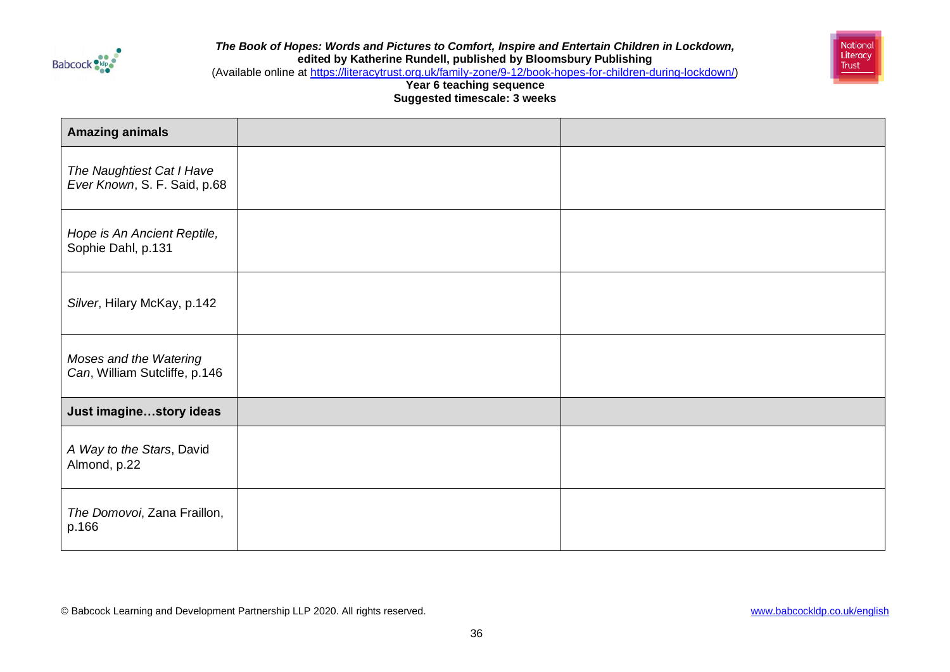



(Available online at [https://literacytrust.org.uk/family-zone/9-12/book-hopes-for-children-during-lockdown/\)](https://literacytrust.org.uk/family-zone/9-12/book-hopes-for-children-during-lockdown/)

**Year 6 teaching sequence Suggested timescale: 3 weeks**

| <b>Amazing animals</b>                                    |  |
|-----------------------------------------------------------|--|
| The Naughtiest Cat I Have<br>Ever Known, S. F. Said, p.68 |  |
| Hope is An Ancient Reptile,<br>Sophie Dahl, p.131         |  |
| Silver, Hilary McKay, p.142                               |  |
| Moses and the Watering<br>Can, William Sutcliffe, p.146   |  |
| Just imaginestory ideas                                   |  |
| A Way to the Stars, David<br>Almond, p.22                 |  |
| The Domovoi, Zana Fraillon,<br>p.166                      |  |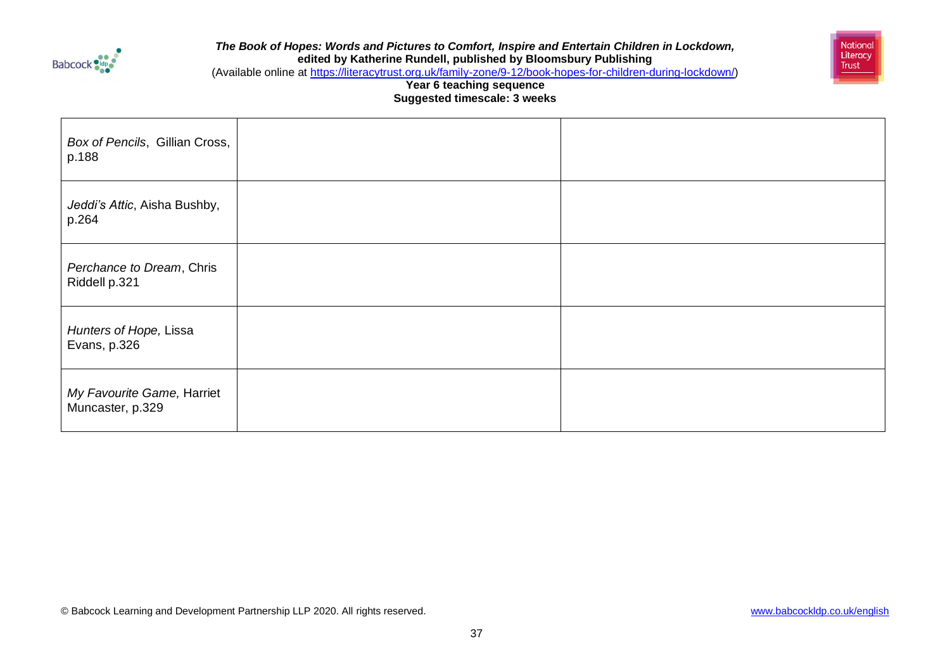



(Available online at [https://literacytrust.org.uk/family-zone/9-12/book-hopes-for-children-during-lockdown/\)](https://literacytrust.org.uk/family-zone/9-12/book-hopes-for-children-during-lockdown/)

| Box of Pencils, Gillian Cross,<br>p.188        |  |
|------------------------------------------------|--|
| Jeddi's Attic, Aisha Bushby,<br>p.264          |  |
| Perchance to Dream, Chris<br>Riddell p.321     |  |
| Hunters of Hope, Lissa<br>Evans, p.326         |  |
| My Favourite Game, Harriet<br>Muncaster, p.329 |  |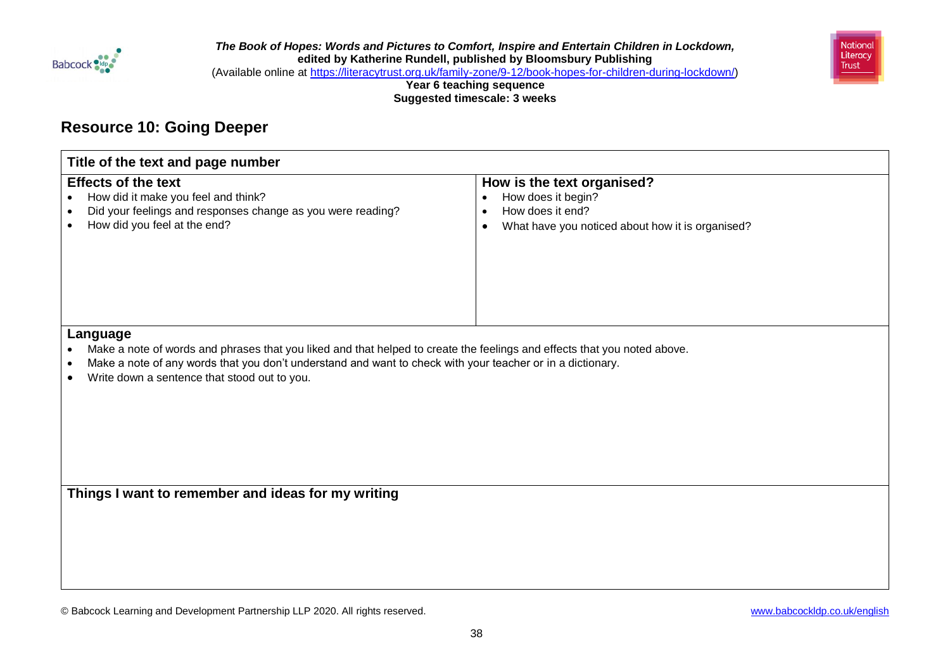

*The Book of Hopes: Words and Pictures to Comfort, Inspire and Entertain Children in Lockdown,*  **edited by Katherine Rundell, published by Bloomsbury Publishing** (Available online at [https://literacytrust.org.uk/family-zone/9-12/book-hopes-for-children-during-lockdown/\)](https://literacytrust.org.uk/family-zone/9-12/book-hopes-for-children-during-lockdown/) National Literacy Trust

**Year 6 teaching sequence Suggested timescale: 3 weeks**

# **Resource 10: Going Deeper**

| Title of the text and page number                                                                                                                                                                                                                                                                  |                                                                                                                                                                 |  |
|----------------------------------------------------------------------------------------------------------------------------------------------------------------------------------------------------------------------------------------------------------------------------------------------------|-----------------------------------------------------------------------------------------------------------------------------------------------------------------|--|
| <b>Effects of the text</b><br>How did it make you feel and think?<br>$\bullet$<br>Did your feelings and responses change as you were reading?<br>How did you feel at the end?                                                                                                                      | How is the text organised?<br>How does it begin?<br>$\bullet$<br>How does it end?<br>$\bullet$<br>What have you noticed about how it is organised?<br>$\bullet$ |  |
| Language<br>Make a note of words and phrases that you liked and that helped to create the feelings and effects that you noted above.<br>Make a note of any words that you don't understand and want to check with your teacher or in a dictionary.<br>Write down a sentence that stood out to you. |                                                                                                                                                                 |  |
| Things I want to remember and ideas for my writing                                                                                                                                                                                                                                                 |                                                                                                                                                                 |  |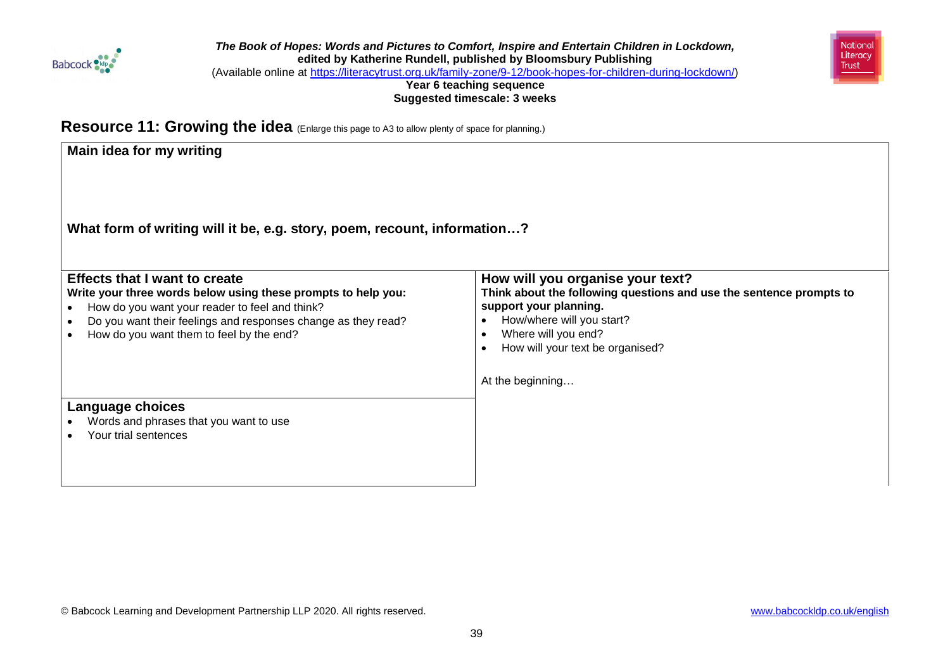



(Available online at [https://literacytrust.org.uk/family-zone/9-12/book-hopes-for-children-during-lockdown/\)](https://literacytrust.org.uk/family-zone/9-12/book-hopes-for-children-during-lockdown/)

**Year 6 teaching sequence Suggested timescale: 3 weeks**

**Resource 11: Growing the idea** (Enlarge this page to A3 to allow plenty of space for planning.)

| Main idea for my writing                                                                                                                                                                                                                                             |                                                                                                                                                                                                                                               |
|----------------------------------------------------------------------------------------------------------------------------------------------------------------------------------------------------------------------------------------------------------------------|-----------------------------------------------------------------------------------------------------------------------------------------------------------------------------------------------------------------------------------------------|
| What form of writing will it be, e.g. story, poem, recount, information?                                                                                                                                                                                             |                                                                                                                                                                                                                                               |
| <b>Effects that I want to create</b><br>Write your three words below using these prompts to help you:<br>How do you want your reader to feel and think?<br>Do you want their feelings and responses change as they read?<br>How do you want them to feel by the end? | How will you organise your text?<br>Think about the following questions and use the sentence prompts to<br>support your planning.<br>How/where will you start?<br>Where will you end?<br>How will your text be organised?<br>At the beginning |
| Language choices<br>Words and phrases that you want to use<br>Your trial sentences                                                                                                                                                                                   |                                                                                                                                                                                                                                               |